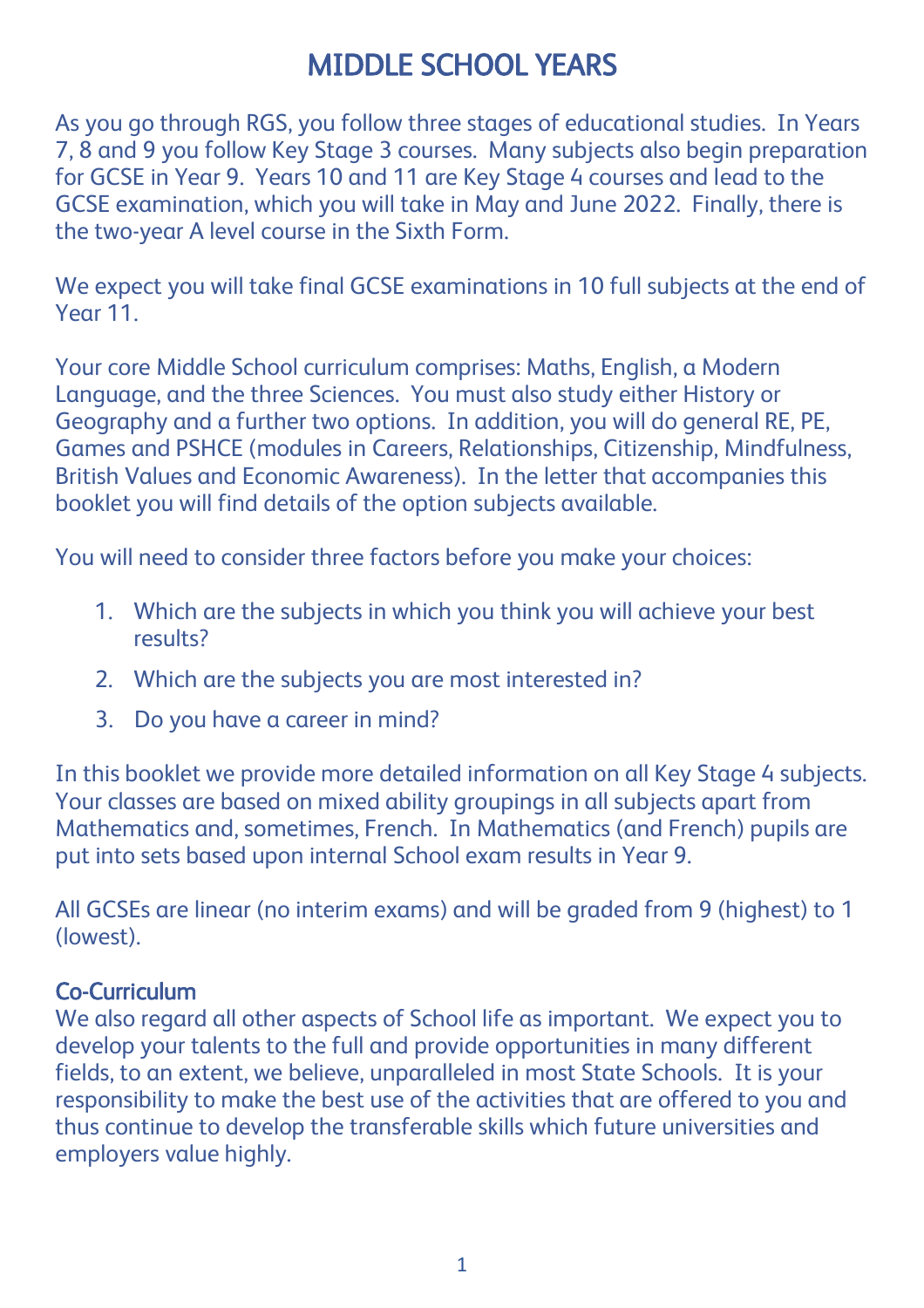# MIDDLE SCHOOL YEARS

As you go through RGS, you follow three stages of educational studies. In Years 7, 8 and 9 you follow Key Stage 3 courses. Many subjects also begin preparation for GCSE in Year 9. Years 10 and 11 are Key Stage 4 courses and lead to the GCSE examination, which you will take in May and June 2022. Finally, there is the two-year A level course in the Sixth Form.

We expect you will take final GCSE examinations in 10 full subjects at the end of Year 11.

Your core Middle School curriculum comprises: Maths, English, a Modern Language, and the three Sciences. You must also study either History or Geography and a further two options. In addition, you will do general RE, PE, Games and PSHCE (modules in Careers, Relationships, Citizenship, Mindfulness, British Values and Economic Awareness). In the letter that accompanies this booklet you will find details of the option subjects available.

You will need to consider three factors before you make your choices:

- 1. Which are the subjects in which you think you will achieve your best results?
- 2. Which are the subjects you are most interested in?
- 3. Do you have a career in mind?

In this booklet we provide more detailed information on all Key Stage 4 subjects. Your classes are based on mixed ability groupings in all subjects apart from Mathematics and, sometimes, French. In Mathematics (and French) pupils are put into sets based upon internal School exam results in Year 9.

All GCSEs are linear (no interim exams) and will be graded from 9 (highest) to 1 (lowest).

#### Co-Curriculum

We also regard all other aspects of School life as important. We expect you to develop your talents to the full and provide opportunities in many different fields, to an extent, we believe, unparalleled in most State Schools. It is your responsibility to make the best use of the activities that are offered to you and thus continue to develop the transferable skills which future universities and employers value highly.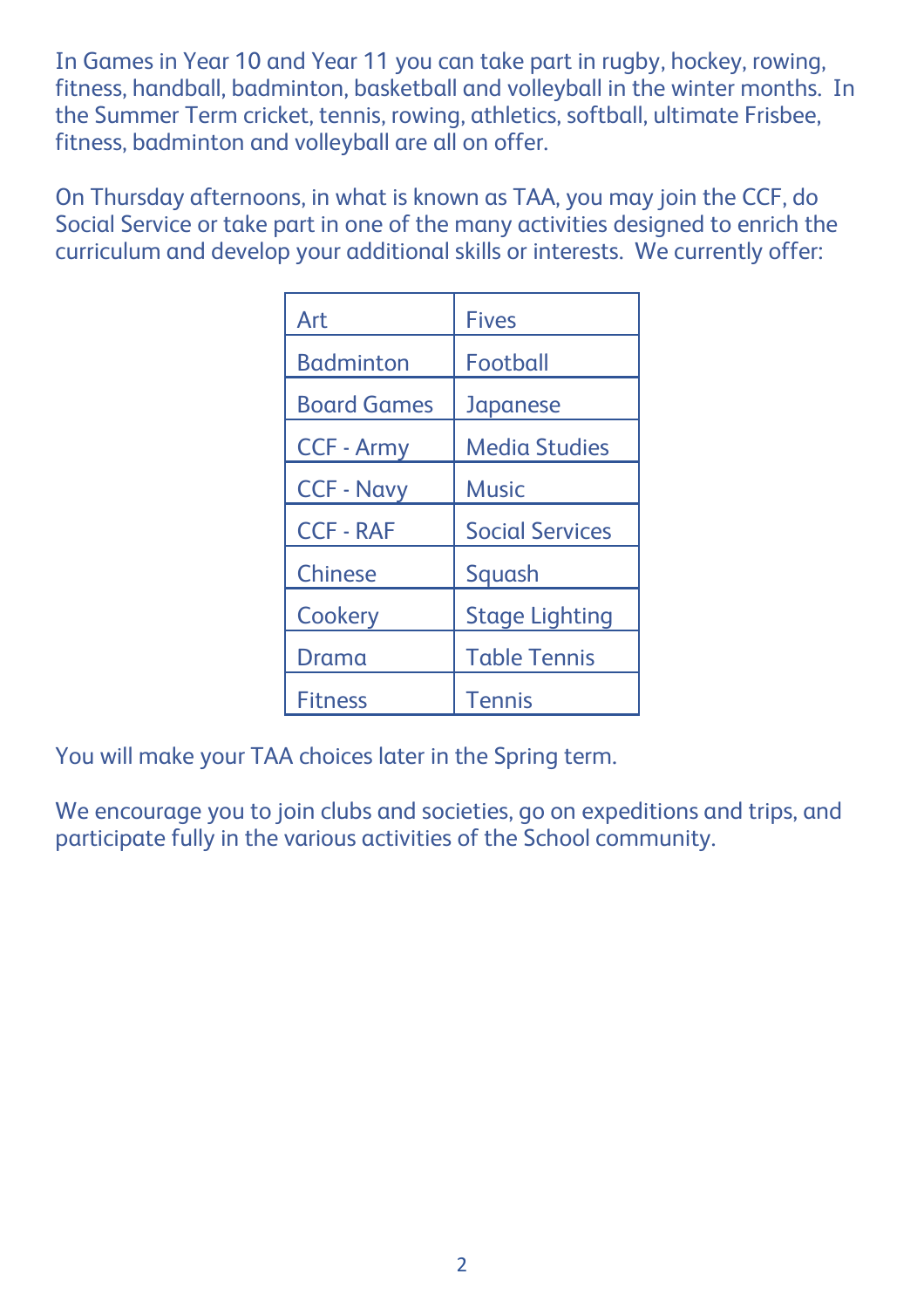In Games in Year 10 and Year 11 you can take part in rugby, hockey, rowing, fitness, handball, badminton, basketball and volleyball in the winter months. In the Summer Term cricket, tennis, rowing, athletics, softball, ultimate Frisbee, fitness, badminton and volleyball are all on offer.

On Thursday afternoons, in what is known as TAA, you may join the CCF, do Social Service or take part in one of the many activities designed to enrich the curriculum and develop your additional skills or interests. We currently offer:

| Art                | <b>Fives</b>           |
|--------------------|------------------------|
| <b>Badminton</b>   | Football               |
| <b>Board Games</b> | Japanese               |
| <b>CCF - Army</b>  | <b>Media Studies</b>   |
| <b>CCF - Navy</b>  | <b>Music</b>           |
| <b>CCF - RAF</b>   | <b>Social Services</b> |
| <b>Chinese</b>     | Squash                 |
| Cookery            | <b>Stage Lighting</b>  |
| Drama              | <b>Table Tennis</b>    |
| Fitness            | <b>Tennis</b>          |

You will make your TAA choices later in the Spring term.

We encourage you to join clubs and societies, go on expeditions and trips, and participate fully in the various activities of the School community.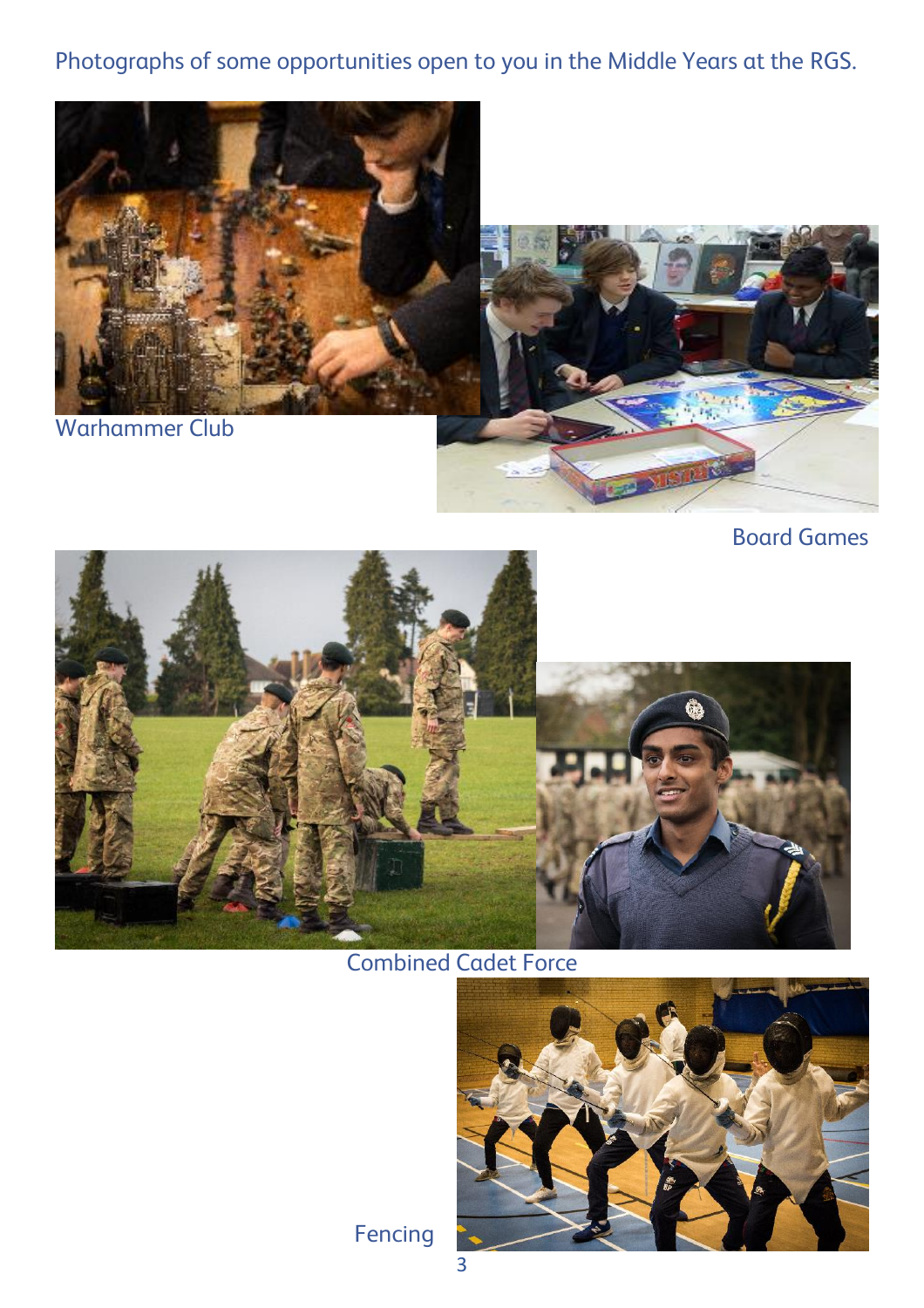## Photographs of some opportunities open to you in the Middle Years at the RGS.



Board Games



Combined Cadet Force



Fencing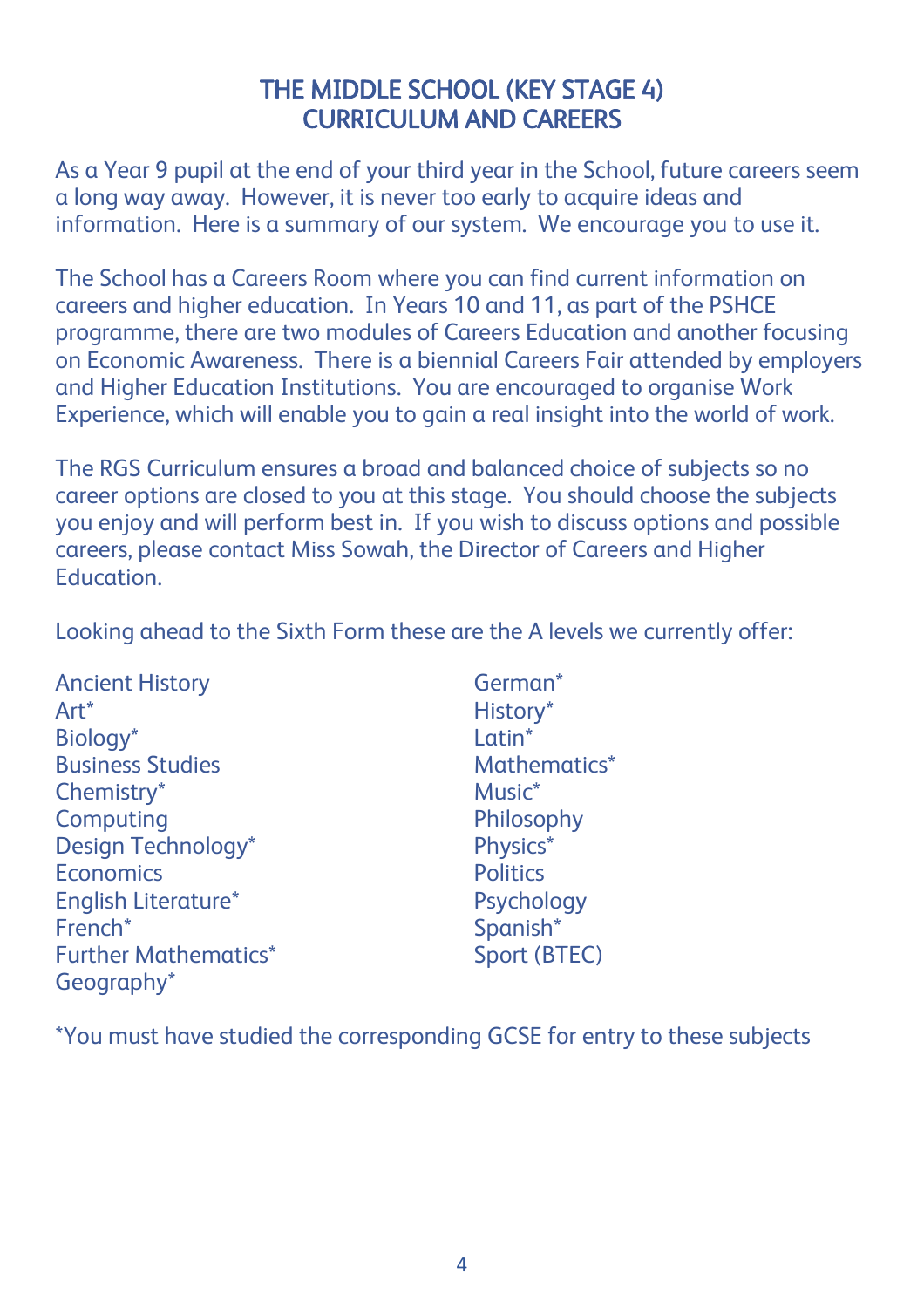## THE MIDDLE SCHOOL (KEY STAGE 4) CURRICULUM AND CAREERS

As a Year 9 pupil at the end of your third year in the School, future careers seem a long way away. However, it is never too early to acquire ideas and information. Here is a summary of our system. We encourage you to use it.

The School has a Careers Room where you can find current information on careers and higher education. In Years 10 and 11, as part of the PSHCE programme, there are two modules of Careers Education and another focusing on Economic Awareness. There is a biennial Careers Fair attended by employers and Higher Education Institutions. You are encouraged to organise Work Experience, which will enable you to gain a real insight into the world of work.

The RGS Curriculum ensures a broad and balanced choice of subjects so no career options are closed to you at this stage. You should choose the subjects you enjoy and will perform best in. If you wish to discuss options and possible careers, please contact Miss Sowah, the Director of Careers and Higher Education.

Looking ahead to the Sixth Form these are the A levels we currently offer:

Ancient History **German**\* Art\* History\* Biology<sup>\*</sup> Business Studies and Mathematics\* Mathematics Music\*<br>Chemistry\* Music\* Music\* Chemistry\* Computing **Philosophy** Design Technology\* Physics\* Economics Politics English Literature\* Psychology French\* Spanish\* Further Mathematics\* Sport (BTEC) Geography\*

\*You must have studied the corresponding GCSE for entry to these subjects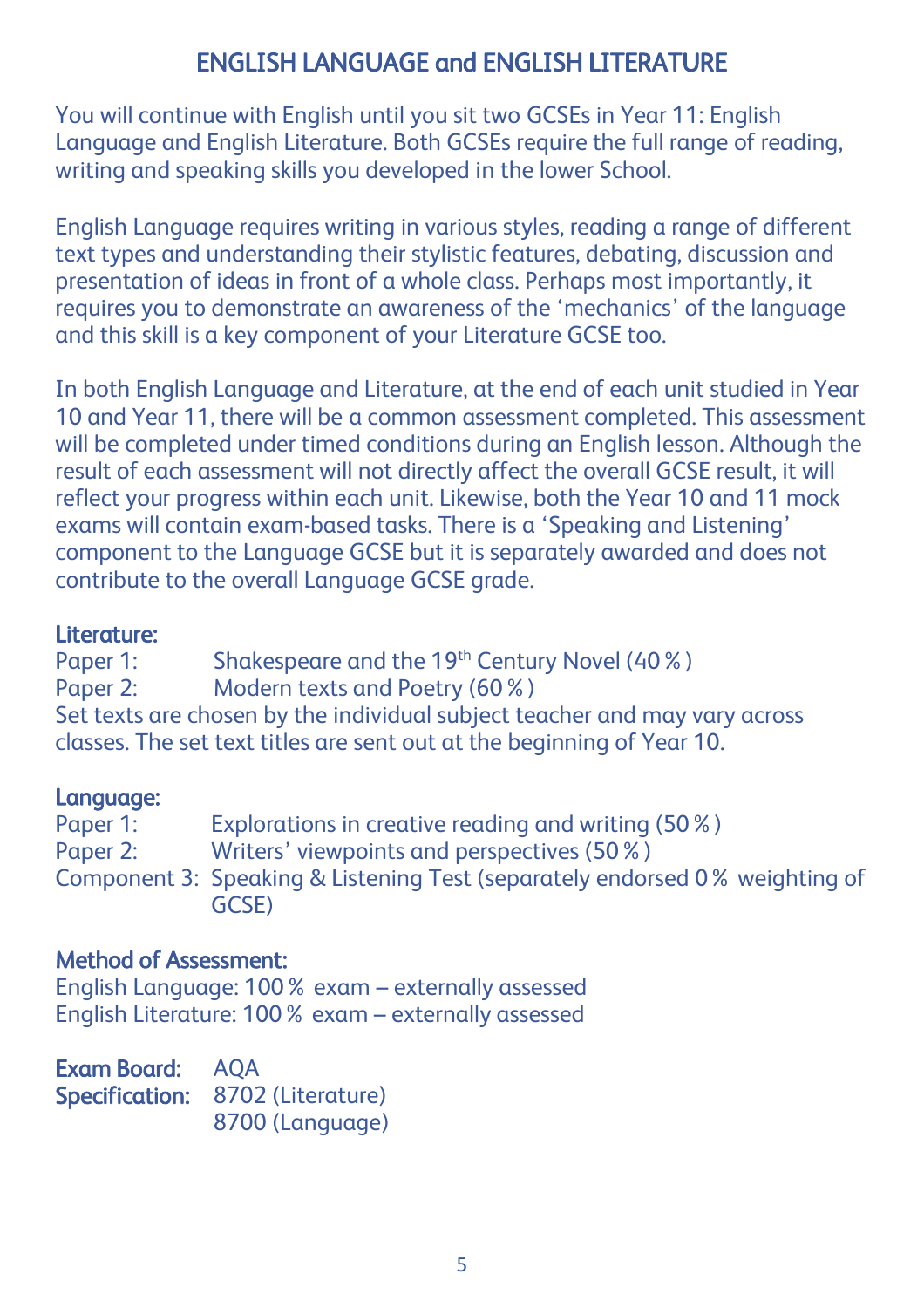# ENGLISH LANGUAGE and ENGLISH LITERATURE

You will continue with English until you sit two GCSEs in Year 11: English Language and English Literature. Both GCSEs require the full range of reading, writing and speaking skills you developed in the lower School.

English Language requires writing in various styles, reading a range of different text types and understanding their stylistic features, debating, discussion and presentation of ideas in front of a whole class. Perhaps most importantly, it requires you to demonstrate an awareness of the 'mechanics' of the language and this skill is a key component of your Literature GCSE too.

In both English Language and Literature, at the end of each unit studied in Year 10 and Year 11, there will be a common assessment completed. This assessment will be completed under timed conditions during an English lesson. Although the result of each assessment will not directly affect the overall GCSE result, it will reflect your progress within each unit. Likewise, both the Year 10 and 11 mock exams will contain exam-based tasks. There is a 'Speaking and Listening' component to the Language GCSE but it is separately awarded and does not contribute to the overall Language GCSE grade.

#### Literature:

Paper 1: Shakespeare and the 19<sup>th</sup> Century Novel (40%) Paper 2: Modern texts and Poetry (60%) Set texts are chosen by the individual subject teacher and may vary across classes. The set text titles are sent out at the beginning of Year 10.

#### Language:

Paper 1: Explorations in creative reading and writing (50%) Paper 2: Writers' viewpoints and perspectives (50%) Component 3: Speaking & Listening Test (separately endorsed 0% weighting of GCSE)

#### Method of Assessment:

English Language: 100% exam – externally assessed English Literature: 100% exam – externally assessed

Exam Board: AQA Specification: 8702 (Literature) 8700 (Language)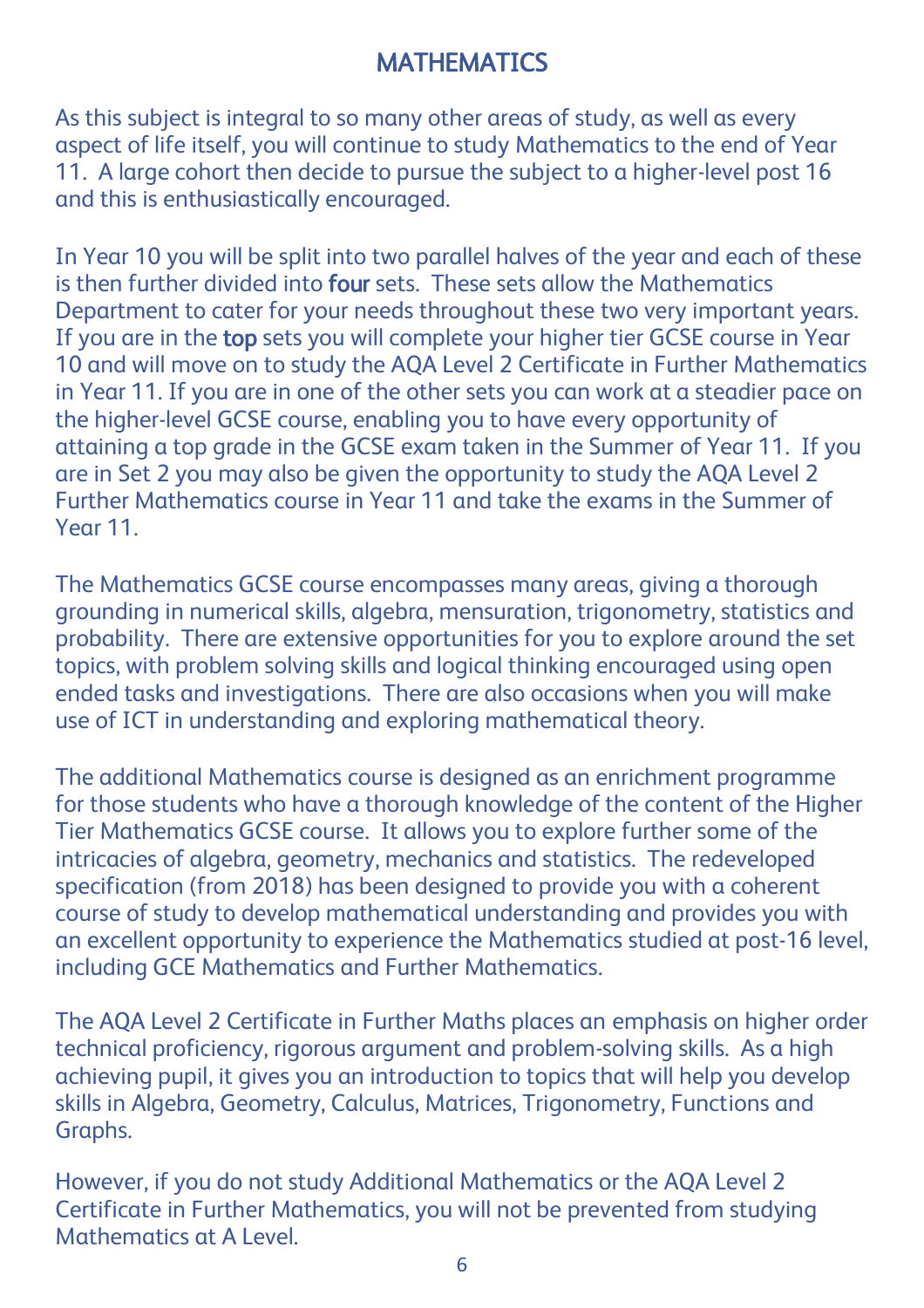# **MATHEMATICS**

As this subject is integral to so many other areas of study, as well as every aspect of life itself, you will continue to study Mathematics to the end of Year 11. A large cohort then decide to pursue the subject to a higher-level post 16 and this is enthusiastically encouraged.

In Year 10 you will be split into two parallel halves of the year and each of these is then further divided into four sets. These sets allow the Mathematics Department to cater for your needs throughout these two very important years. If you are in the top sets you will complete your higher tier GCSE course in Year 10 and will move on to study the AQA Level 2 Certificate in Further Mathematics in Year 11. If you are in one of the other sets you can work at a steadier pace on the higher-level GCSE course, enabling you to have every opportunity of attaining a top grade in the GCSE exam taken in the Summer of Year 11. If you are in Set 2 you may also be given the opportunity to study the AQA Level 2 Further Mathematics course in Year 11 and take the exams in the Summer of Year 11.

The Mathematics GCSE course encompasses many areas, giving a thorough grounding in numerical skills, algebra, mensuration, trigonometry, statistics and probability. There are extensive opportunities for you to explore around the set topics, with problem solving skills and logical thinking encouraged using open ended tasks and investigations. There are also occasions when you will make use of ICT in understanding and exploring mathematical theory.

The additional Mathematics course is designed as an enrichment programme for those students who have a thorough knowledge of the content of the Higher Tier Mathematics GCSE course. It allows you to explore further some of the intricacies of algebra, geometry, mechanics and statistics. The redeveloped specification (from 2018) has been designed to provide you with a coherent course of study to develop mathematical understanding and provides you with an excellent opportunity to experience the Mathematics studied at post-16 level, including GCE Mathematics and Further Mathematics.

The AQA Level 2 Certificate in Further Maths places an emphasis on higher order technical proficiency, rigorous argument and problem-solving skills. As a high achieving pupil, it gives you an introduction to topics that will help you develop skills in Algebra, Geometry, Calculus, Matrices, Trigonometry, Functions and Graphs.

However, if you do not study Additional Mathematics or the AQA Level 2 Certificate in Further Mathematics, you will not be prevented from studying Mathematics at A Level.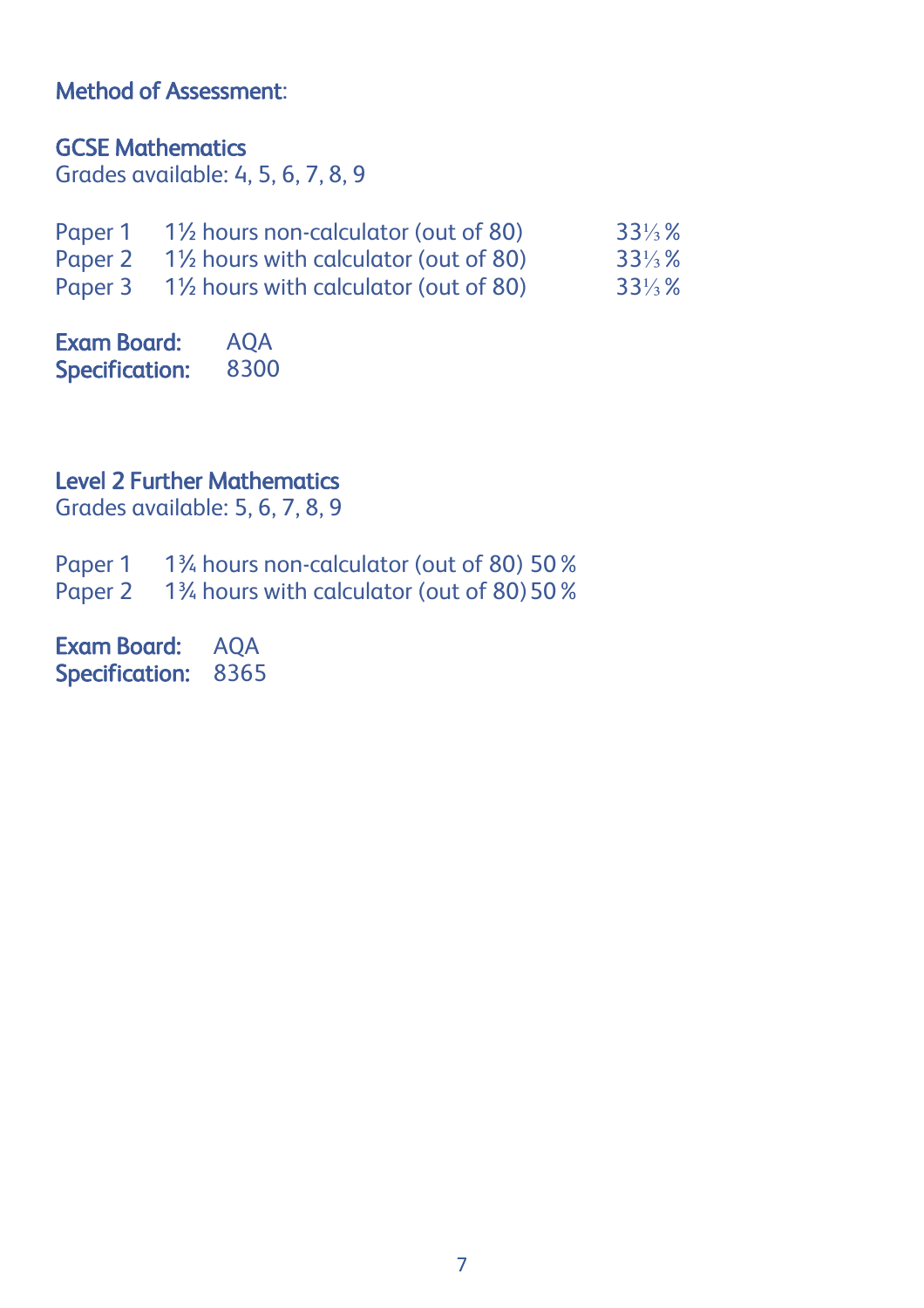### Method of Assessment:

#### GCSE Mathematics

Grades available: 4, 5, 6, 7, 8, 9

| Paper 1      | 1 <sup>1</sup> / <sub>2</sub> hours non-calculator (out of 80)  | $33\frac{1}{3}\%$ |
|--------------|-----------------------------------------------------------------|-------------------|
| Paper 2      | 1 <sup>1</sup> / <sub>2</sub> hours with calculator (out of 80) | $33\frac{1}{3}\%$ |
| $D$ anor $3$ | $1\%$ houre with calculator (out of $80$ )                      | 221/9/            |

Paper 3 1½ hours with calculator (out of 80) 33⅓%

Exam Board: AQA Specification: 8300

### Level 2 Further Mathematics

Grades available: 5, 6, 7, 8, 9

Paper 1 1¼ hours non-calculator (out of 80) 50%

Paper 2 1<sup>3</sup>/<sub>4</sub> hours with calculator (out of 80) 50 %

Exam Board: AQA Specification: 8365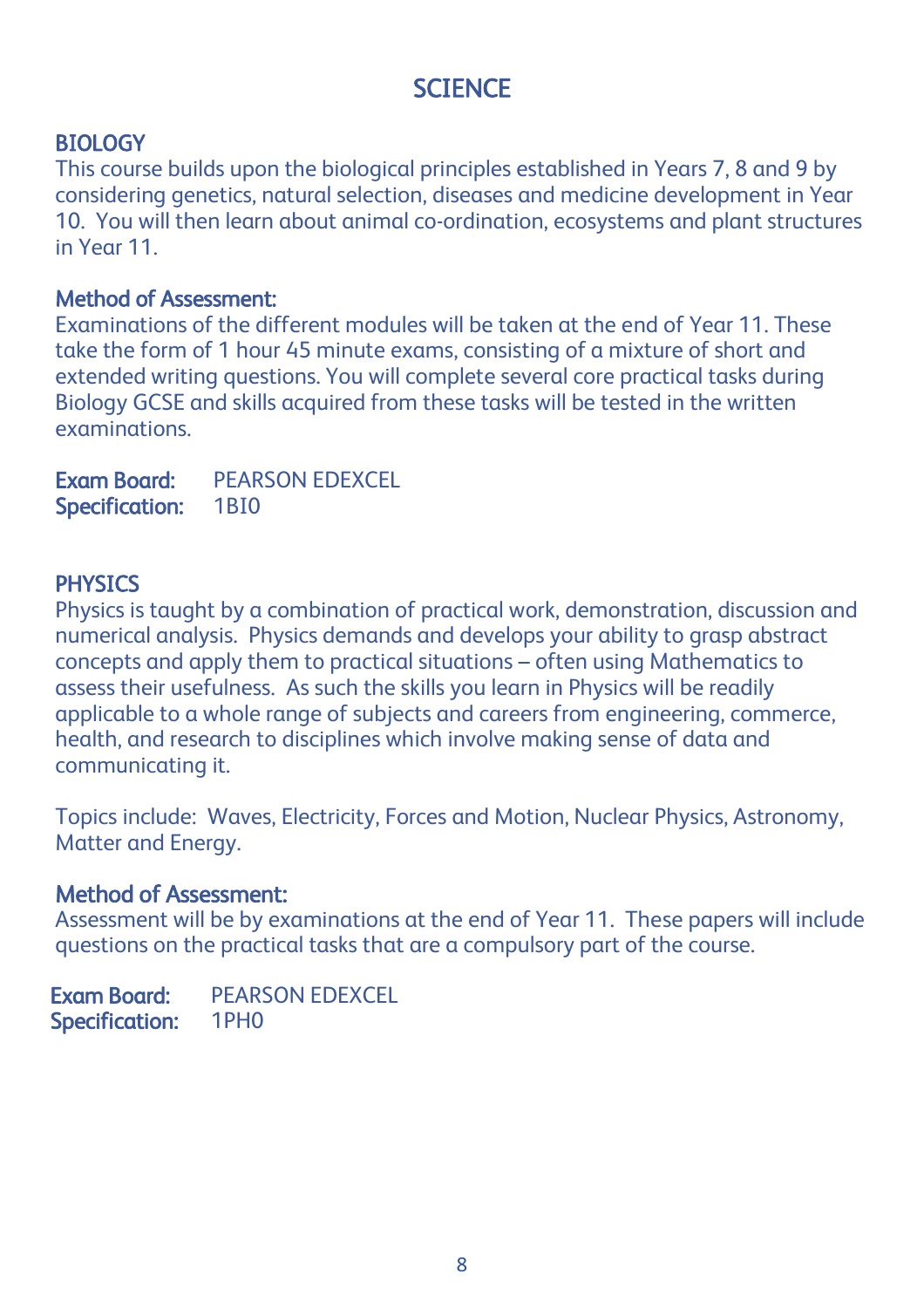# **SCIENCE**

### **BIOLOGY**

This course builds upon the biological principles established in Years 7, 8 and 9 by considering genetics, natural selection, diseases and medicine development in Year 10. You will then learn about animal co-ordination, ecosystems and plant structures in Year 11.

#### Method of Assessment:

Examinations of the different modules will be taken at the end of Year 11. These take the form of 1 hour 45 minute exams, consisting of a mixture of short and extended writing questions. You will complete several core practical tasks during Biology GCSE and skills acquired from these tasks will be tested in the written examinations.

Exam Board: PEARSON EDEXCEL Specification: 1BI0

## **PHYSICS**

Physics is taught by a combination of practical work, demonstration, discussion and numerical analysis. Physics demands and develops your ability to grasp abstract concepts and apply them to practical situations – often using Mathematics to assess their usefulness. As such the skills you learn in Physics will be readily applicable to a whole range of subjects and careers from engineering, commerce, health, and research to disciplines which involve making sense of data and communicating it.

Topics include: Waves, Electricity, Forces and Motion, Nuclear Physics, Astronomy, Matter and Energy.

### Method of Assessment:

Assessment will be by examinations at the end of Year 11. These papers will include questions on the practical tasks that are a compulsory part of the course.

Exam Board: PEARSON EDEXCEL Specification: 1PH0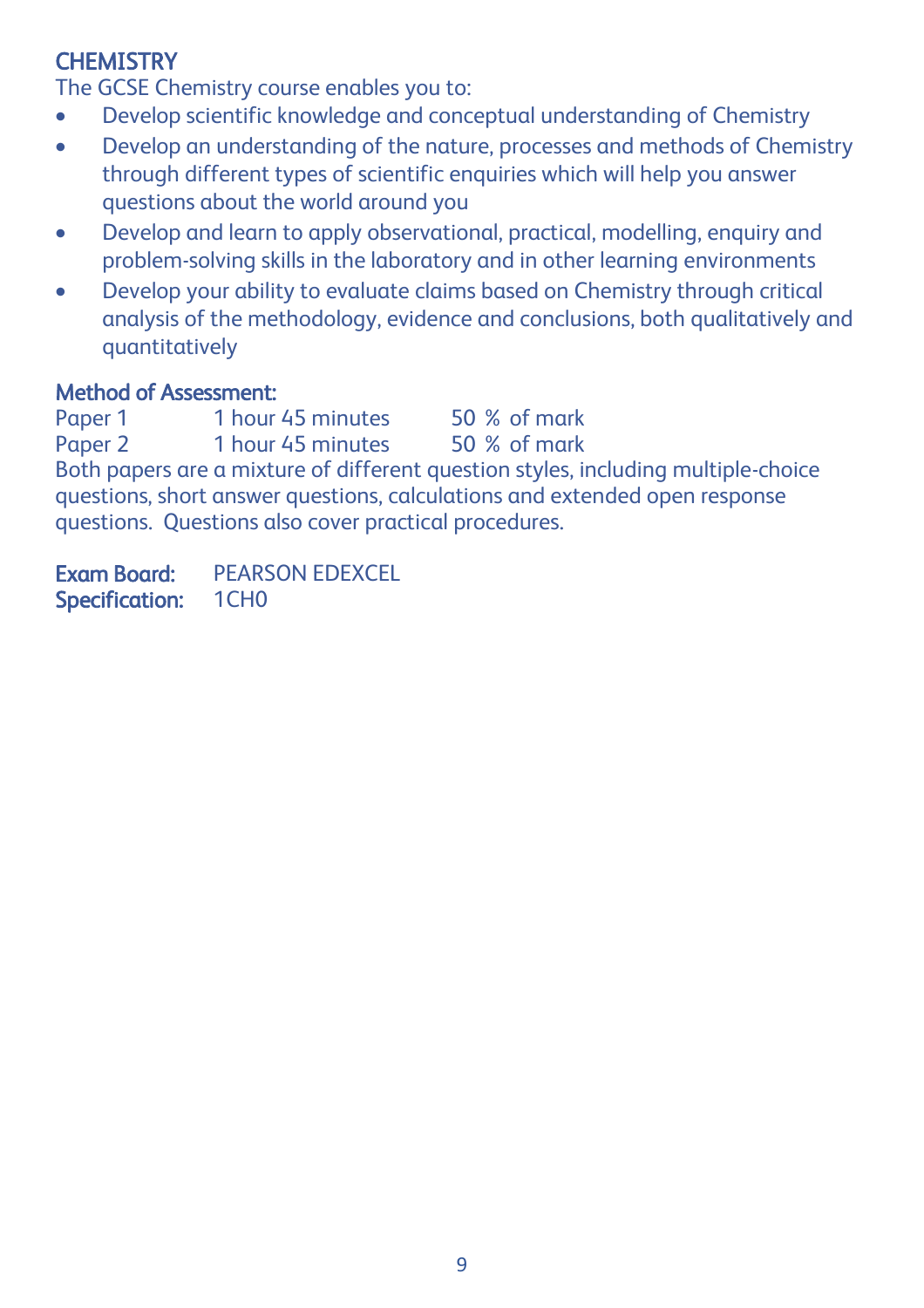## **CHEMISTRY**

The GCSE Chemistry course enables you to:

- Develop scientific knowledge and conceptual understanding of Chemistry
- Develop an understanding of the nature, processes and methods of Chemistry through different types of scientific enquiries which will help you answer questions about the world around you
- Develop and learn to apply observational, practical, modelling, enquiry and problem-solving skills in the laboratory and in other learning environments
- Develop your ability to evaluate claims based on Chemistry through critical analysis of the methodology, evidence and conclusions, both qualitatively and quantitatively

## Method of Assessment:

Paper 1 1 hour 45 minutes 50 % of mark<br>Paper 2 1 hour 45 minutes 50 % of mark 1 hour 45 minutes 50 % of mark Both papers are a mixture of different question styles, including multiple-choice questions, short answer questions, calculations and extended open response questions. Questions also cover practical procedures.

Exam Board: PEARSON EDEXCEL Specification: 1CH0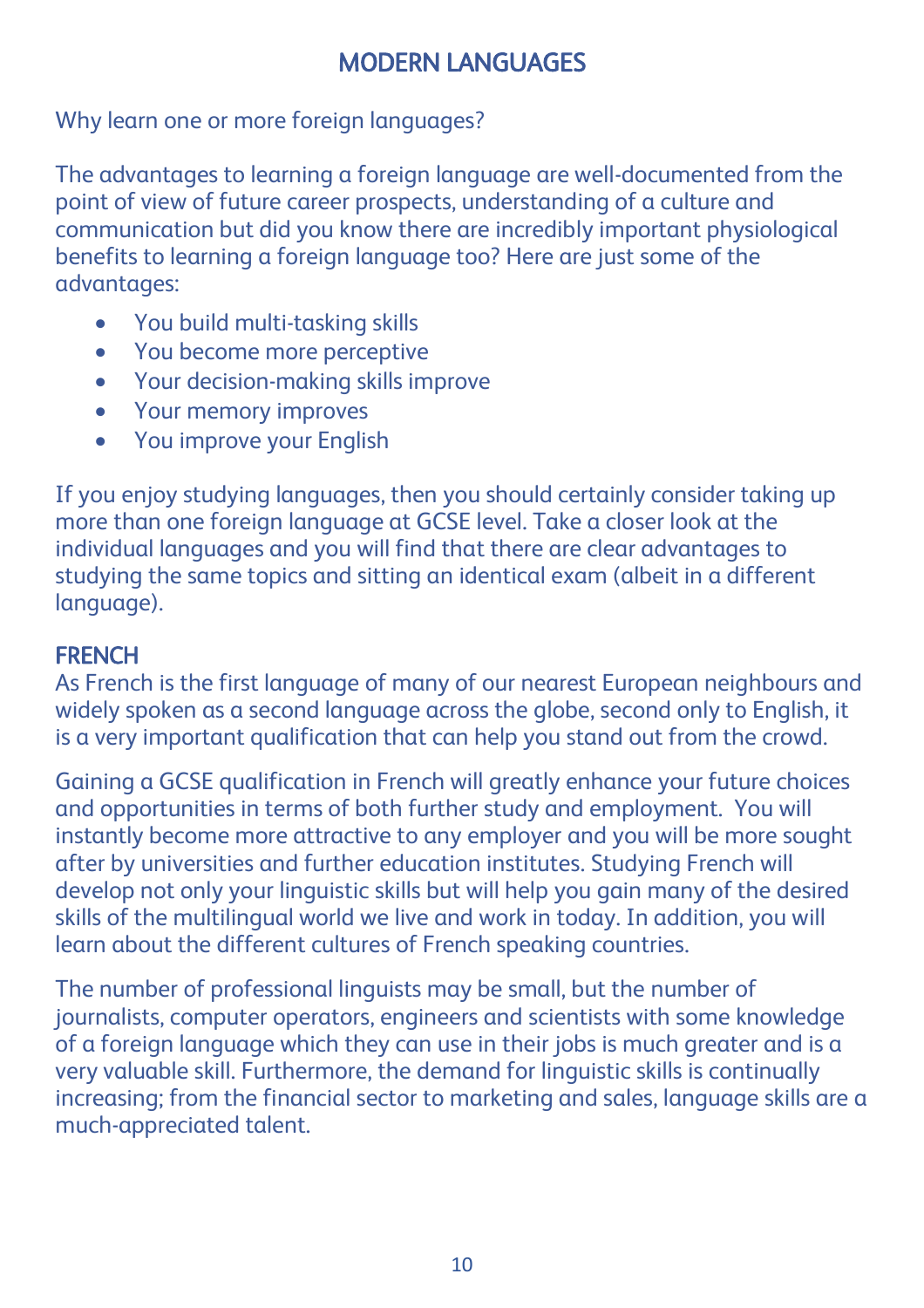# MODERN LANGUAGES

Why learn one or more foreign languages?

The advantages to learning a foreign language are well-documented from the point of view of future career prospects, understanding of a culture and communication but did you know there are incredibly important physiological benefits to learning a foreign language too? Here are just some of the advantages:

- You build multi-tasking skills
- You become more perceptive
- Your decision-making skills improve
- Your memory improves
- You improve your English

If you enjoy studying languages, then you should certainly consider taking up more than one foreign language at GCSE level. Take a closer look at the individual languages and you will find that there are clear advantages to studying the same topics and sitting an identical exam (albeit in a different language).

## **FRENCH**

As French is the first language of many of our nearest European neighbours and widely spoken as a second language across the globe, second only to English, it is a very important qualification that can help you stand out from the crowd.

Gaining a GCSE qualification in French will greatly enhance your future choices and opportunities in terms of both further study and employment. You will instantly become more attractive to any employer and you will be more sought after by universities and further education institutes. Studying French will develop not only your linguistic skills but will help you gain many of the desired skills of the multilingual world we live and work in today. In addition, you will learn about the different cultures of French speaking countries.

The number of professional linguists may be small, but the number of journalists, computer operators, engineers and scientists with some knowledge of a foreign language which they can use in their jobs is much greater and is a very valuable skill. Furthermore, the demand for linguistic skills is continually increasing; from the financial sector to marketing and sales, language skills are a much-appreciated talent.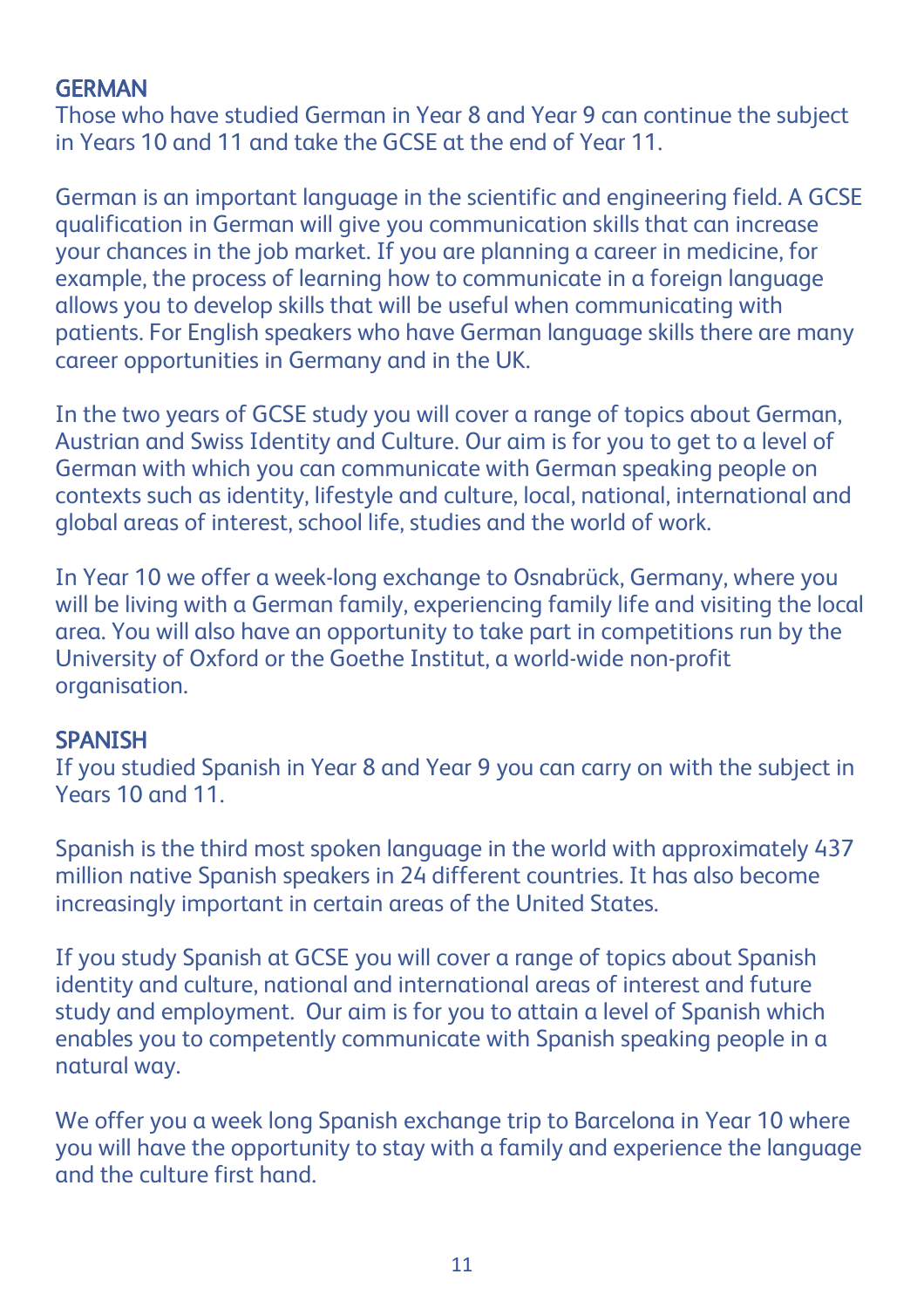### **GERMAN**

Those who have studied German in Year 8 and Year 9 can continue the subject in Years 10 and 11 and take the GCSE at the end of Year 11.

German is an important language in the scientific and engineering field. A GCSE qualification in German will give you communication skills that can increase your chances in the job market. If you are planning a career in medicine, for example, the process of learning how to communicate in a foreign language allows you to develop skills that will be useful when communicating with patients. For English speakers who have German language skills there are many career opportunities in Germany and in the UK.

In the two years of GCSE study you will cover a range of topics about German, Austrian and Swiss Identity and Culture. Our aim is for you to get to a level of German with which you can communicate with German speaking people on contexts such as identity, lifestyle and culture, local, national, international and global areas of interest, school life, studies and the world of work.

In Year 10 we offer a week-long exchange to Osnabrück, Germany, where you will be living with a German family, experiencing family life and visiting the local area. You will also have an opportunity to take part in competitions run by the University of Oxford or the Goethe Institut, a world-wide non-profit organisation.

#### SPANISH

If you studied Spanish in Year 8 and Year 9 you can carry on with the subject in Years 10 and 11.

Spanish is the third most spoken language in the world with approximately 437 million native Spanish speakers in 24 different countries. It has also become increasingly important in certain areas of the United States.

If you study Spanish at GCSE you will cover a range of topics about Spanish identity and culture, national and international areas of interest and future study and employment. Our aim is for you to attain a level of Spanish which enables you to competently communicate with Spanish speaking people in a natural way.

We offer you a week long Spanish exchange trip to Barcelona in Year 10 where you will have the opportunity to stay with a family and experience the language and the culture first hand.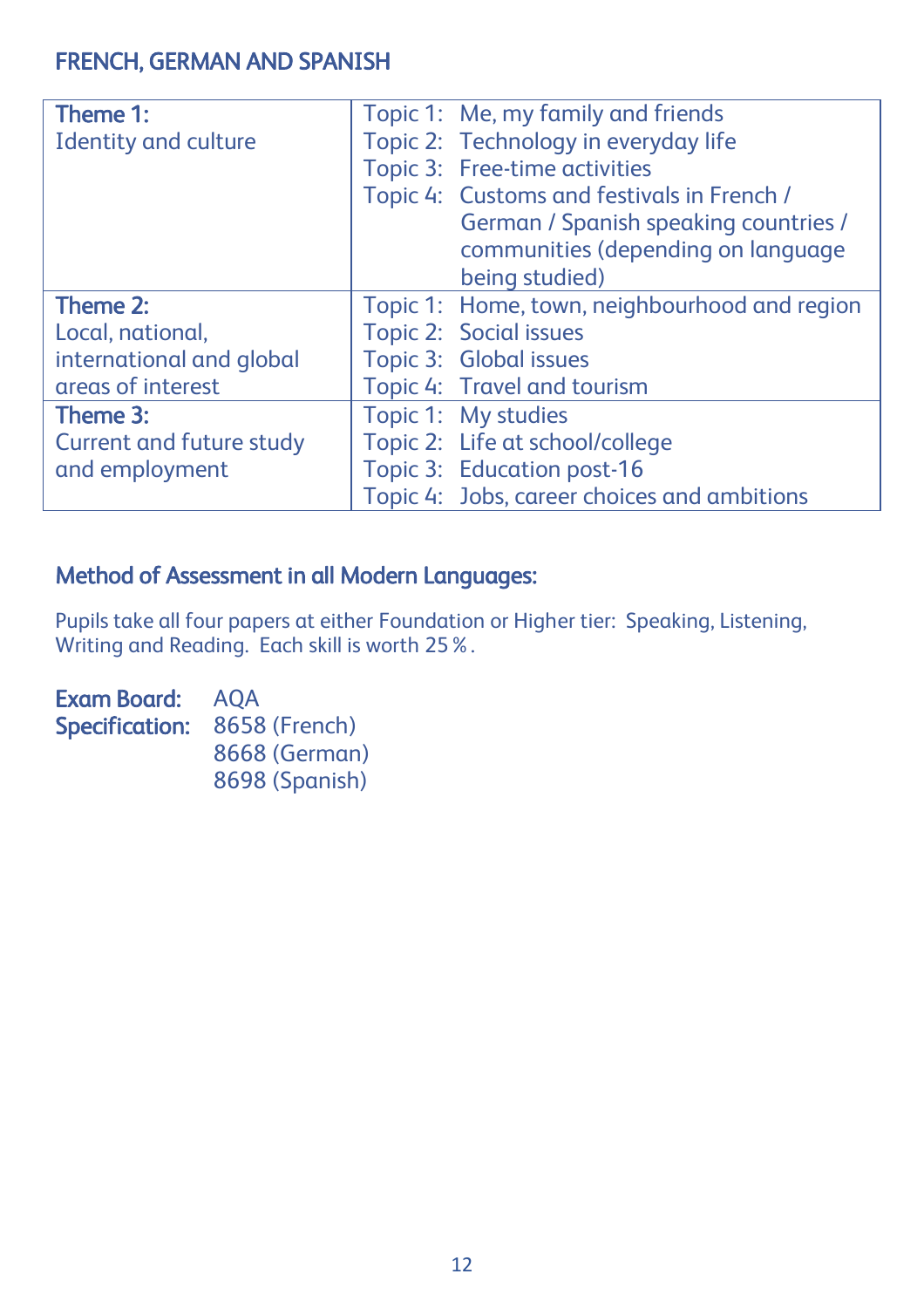## FRENCH, GERMAN AND SPANISH

| Theme 1:                        | Topic 1: Me, my family and friends            |
|---------------------------------|-----------------------------------------------|
| <b>Identity and culture</b>     | Topic 2: Technology in everyday life          |
|                                 | Topic 3: Free-time activities                 |
|                                 | Topic 4: Customs and festivals in French /    |
|                                 | German / Spanish speaking countries /         |
|                                 | communities (depending on language            |
|                                 | being studied)                                |
| Theme 2:                        | Topic 1: Home, town, neighbourhood and region |
| Local, national,                | Topic 2: Social issues                        |
| international and global        | Topic 3: Global issues                        |
| areas of interest               | Topic 4: Travel and tourism                   |
| Theme 3:                        | Topic 1: My studies                           |
| <b>Current and future study</b> | Topic 2: Life at school/college               |
| and employment                  | Topic 3: Education post-16                    |
|                                 | Topic 4: Jobs, career choices and ambitions   |

### Method of Assessment in all Modern Languages:

Pupils take all four papers at either Foundation or Higher tier: Speaking, Listening, Writing and Reading. Each skill is worth 25%.

Exam Board: AQA Specification: 8658 (French) 8668 (German) 8698 (Spanish)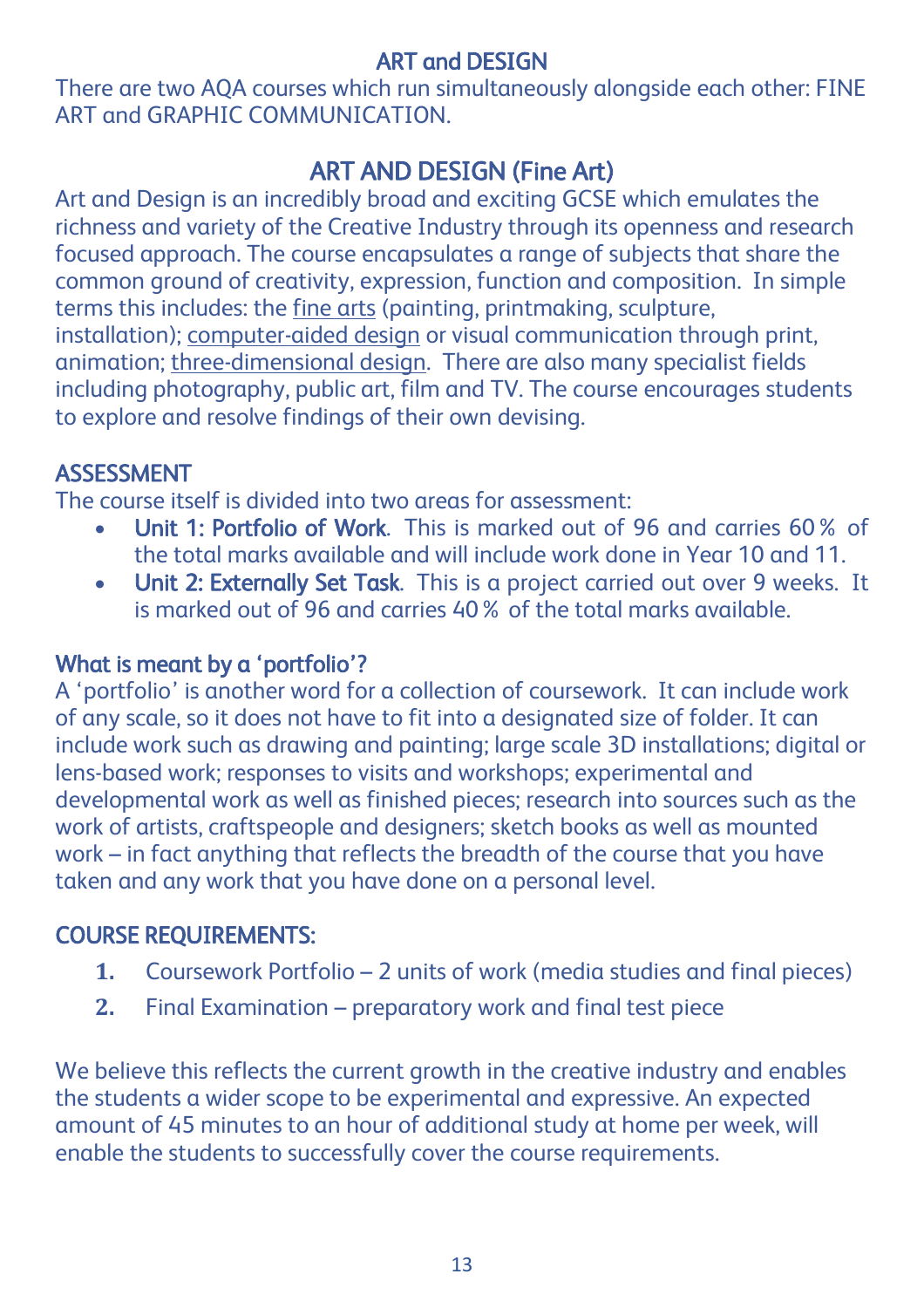## ART and DESIGN

There are two AQA courses which run simultaneously alongside each other: FINE ART and GRAPHIC COMMUNICATION.

# ART AND DESIGN (Fine Art)

Art and Design is an incredibly broad and exciting GCSE which emulates the richness and variety of the Creative Industry through its openness and research focused approach. The course encapsulates a range of subjects that share the common ground of creativity, expression, function and composition. In simple terms this includes: the fine arts (painting, printmaking, sculpture, installation); computer-aided design or visual communication through print, animation; three-dimensional design. There are also many specialist fields including photography, public art, film and TV. The course encourages students to explore and resolve findings of their own devising.

## ASSESSMENT

The course itself is divided into two areas for assessment:

- Unit 1: Portfolio of Work. This is marked out of 96 and carries 60% of the total marks available and will include work done in Year 10 and 11.
- Unit 2: Externally Set Task. This is a project carried out over 9 weeks. It is marked out of 96 and carries 40% of the total marks available.

## What is meant by a 'portfolio'?

A 'portfolio' is another word for a collection of coursework. It can include work of any scale, so it does not have to fit into a designated size of folder. It can include work such as drawing and painting; large scale 3D installations; digital or lens-based work; responses to visits and workshops; experimental and developmental work as well as finished pieces; research into sources such as the work of artists, craftspeople and designers; sketch books as well as mounted work – in fact anything that reflects the breadth of the course that you have taken and any work that you have done on a personal level.

# COURSE REQUIREMENTS:

- **1.** Coursework Portfolio 2 units of work (media studies and final pieces)
- **2.** Final Examination preparatory work and final test piece

We believe this reflects the current growth in the creative industry and enables the students a wider scope to be experimental and expressive. An expected amount of 45 minutes to an hour of additional study at home per week, will enable the students to successfully cover the course requirements.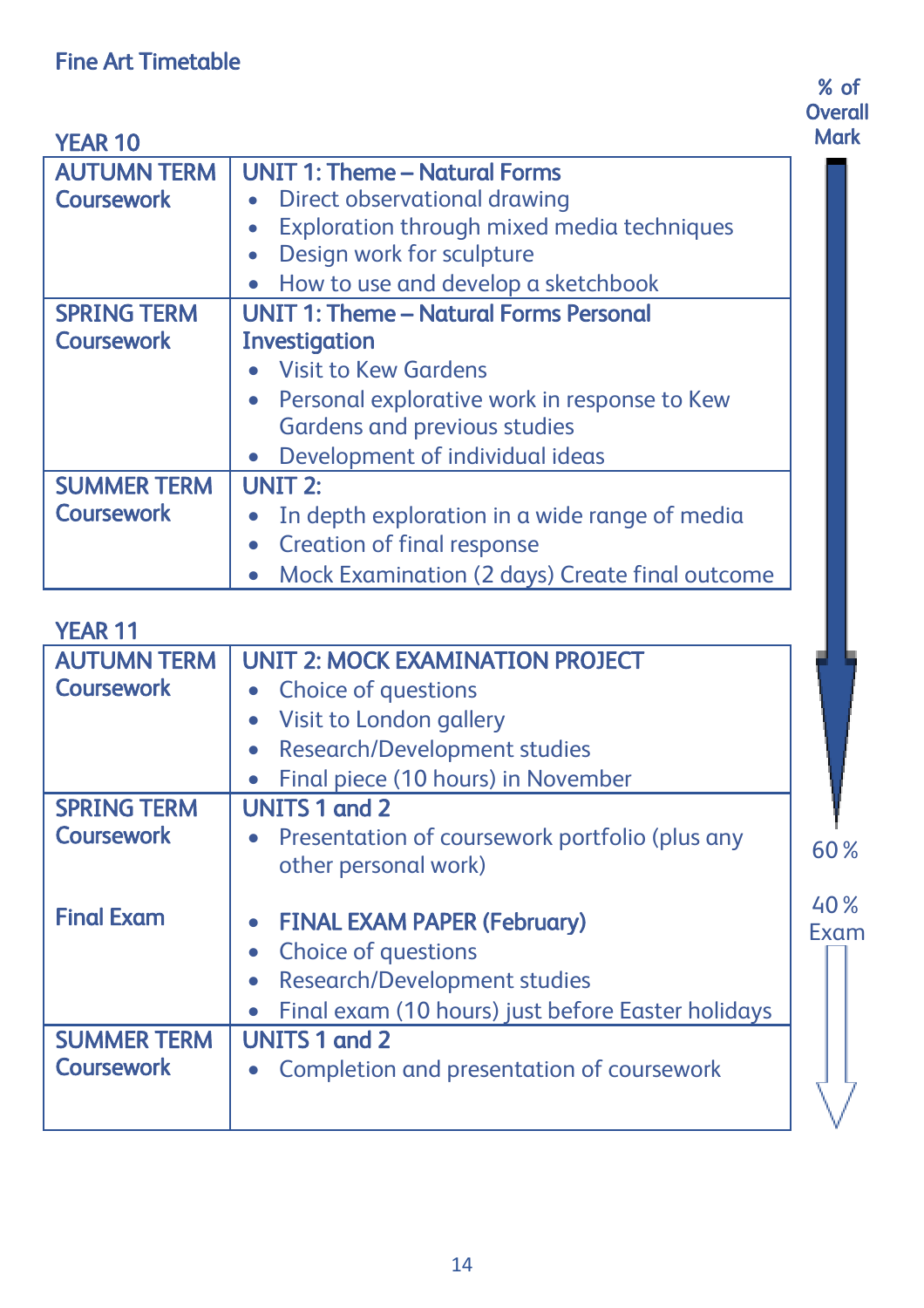#### where the contract of the contract of the contract of the contract of the contract of the contract of the contract of the contract of the contract of the contract of the contract of the contract of the contract of the cont **Overall** Mark

H

| <b>YEAR 10</b>     | Mari                                           |
|--------------------|------------------------------------------------|
| <b>AUTUMN TERM</b> | <b>UNIT 1: Theme - Natural Forms</b>           |
| <b>Coursework</b>  | Direct observational drawing                   |
|                    | Exploration through mixed media techniques     |
|                    | Design work for sculpture                      |
|                    | How to use and develop a sketchbook            |
| <b>SPRING TERM</b> | <b>UNIT 1: Theme - Natural Forms Personal</b>  |
| <b>Coursework</b>  | <b>Investigation</b>                           |
|                    | • Visit to Kew Gardens                         |
|                    | Personal explorative work in response to Kew   |
|                    | <b>Gardens and previous studies</b>            |
|                    | Development of individual ideas                |
| <b>SUMMER TERM</b> | <b>UNIT 2:</b>                                 |
| <b>Coursework</b>  | In depth exploration in a wide range of media  |
|                    | <b>Creation of final response</b>              |
|                    | Mock Examination (2 days) Create final outcome |

| <b>YEAR 11</b>     |                                                                                                                                                |             |
|--------------------|------------------------------------------------------------------------------------------------------------------------------------------------|-------------|
| <b>AUTUMN TERM</b> | <b>UNIT 2: MOCK EXAMINATION PROJECT</b>                                                                                                        |             |
| <b>Coursework</b>  | Choice of questions                                                                                                                            |             |
|                    | Visit to London gallery                                                                                                                        |             |
|                    | Research/Development studies                                                                                                                   |             |
|                    | Final piece (10 hours) in November                                                                                                             |             |
| <b>SPRING TERM</b> | <b>UNITS 1 and 2</b>                                                                                                                           |             |
| <b>Coursework</b>  | Presentation of coursework portfolio (plus any                                                                                                 | 60%         |
|                    | other personal work)                                                                                                                           |             |
| <b>Final Exam</b>  | <b>FINAL EXAM PAPER (February)</b><br>Choice of questions<br>Research/Development studies<br>Final exam (10 hours) just before Easter holidays | 40%<br>Exam |
| <b>SUMMER TERM</b> | <b>UNITS 1 and 2</b>                                                                                                                           |             |
| <b>Coursework</b>  | Completion and presentation of coursework                                                                                                      |             |
|                    |                                                                                                                                                |             |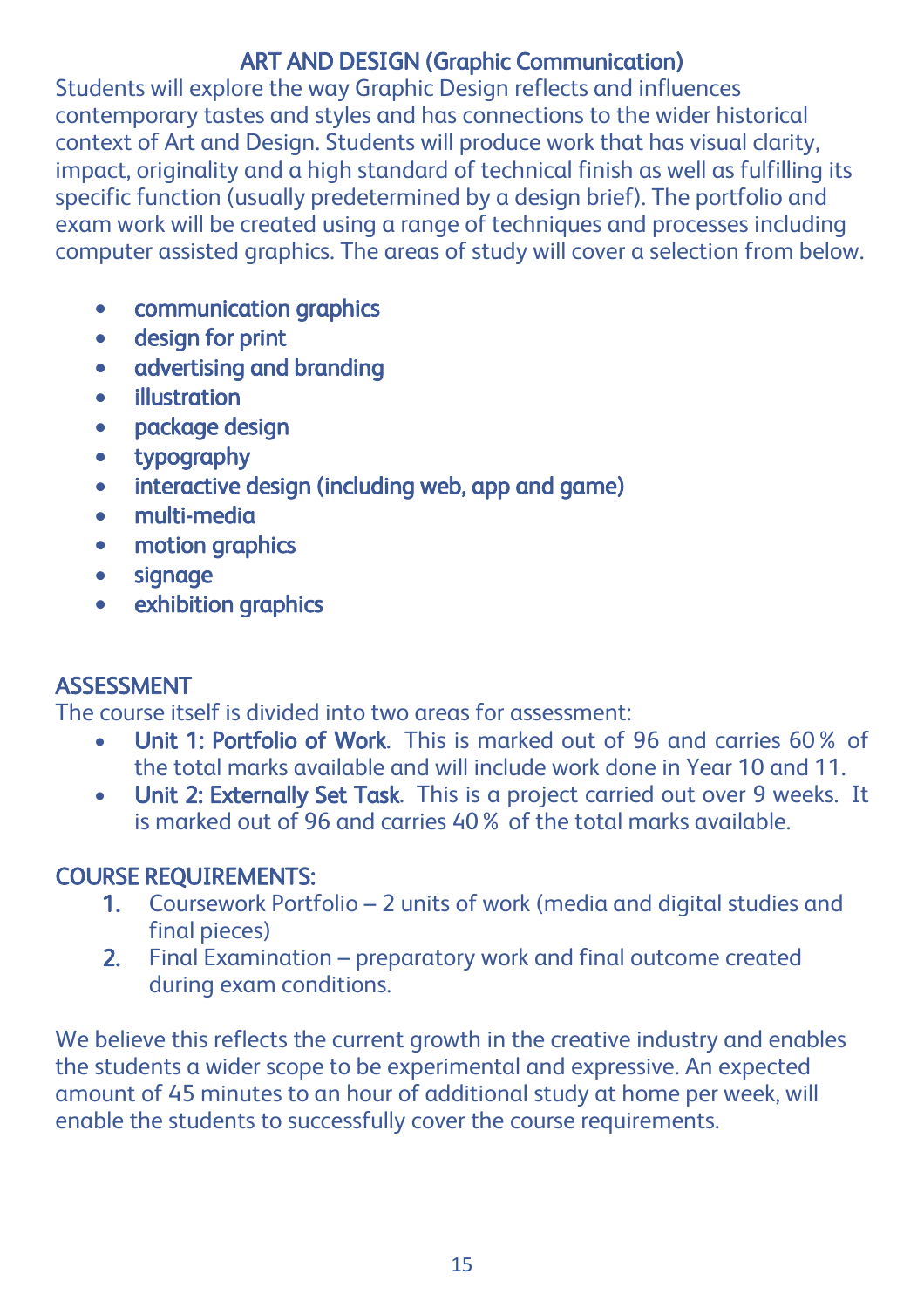## ART AND DESIGN (Graphic Communication)

Students will explore the way Graphic Design reflects and influences contemporary tastes and styles and has connections to the wider historical context of Art and Design. Students will produce work that has visual clarity, impact, originality and a high standard of technical finish as well as fulfilling its specific function (usually predetermined by a design brief). The portfolio and exam work will be created using a range of techniques and processes including computer assisted graphics. The areas of study will cover a selection from below.

- communication graphics
- design for print
- advertising and branding
- **•** illustration
- package design
- typography
- interactive design (including web, app and game)
- multi-media
- motion graphics
- signage
- exhibition graphics

### ASSESSMENT

The course itself is divided into two areas for assessment:

- Unit 1: Portfolio of Work. This is marked out of 96 and carries 60% of the total marks available and will include work done in Year 10 and 11.
- Unit 2: Externally Set Task. This is a project carried out over 9 weeks. It is marked out of 96 and carries 40% of the total marks available.

## COURSE REQUIREMENTS:

- 1. Coursework Portfolio 2 units of work (media and digital studies and final pieces)
- 2. Final Examination preparatory work and final outcome created during exam conditions.

We believe this reflects the current growth in the creative industry and enables the students a wider scope to be experimental and expressive. An expected amount of 45 minutes to an hour of additional study at home per week, will enable the students to successfully cover the course requirements.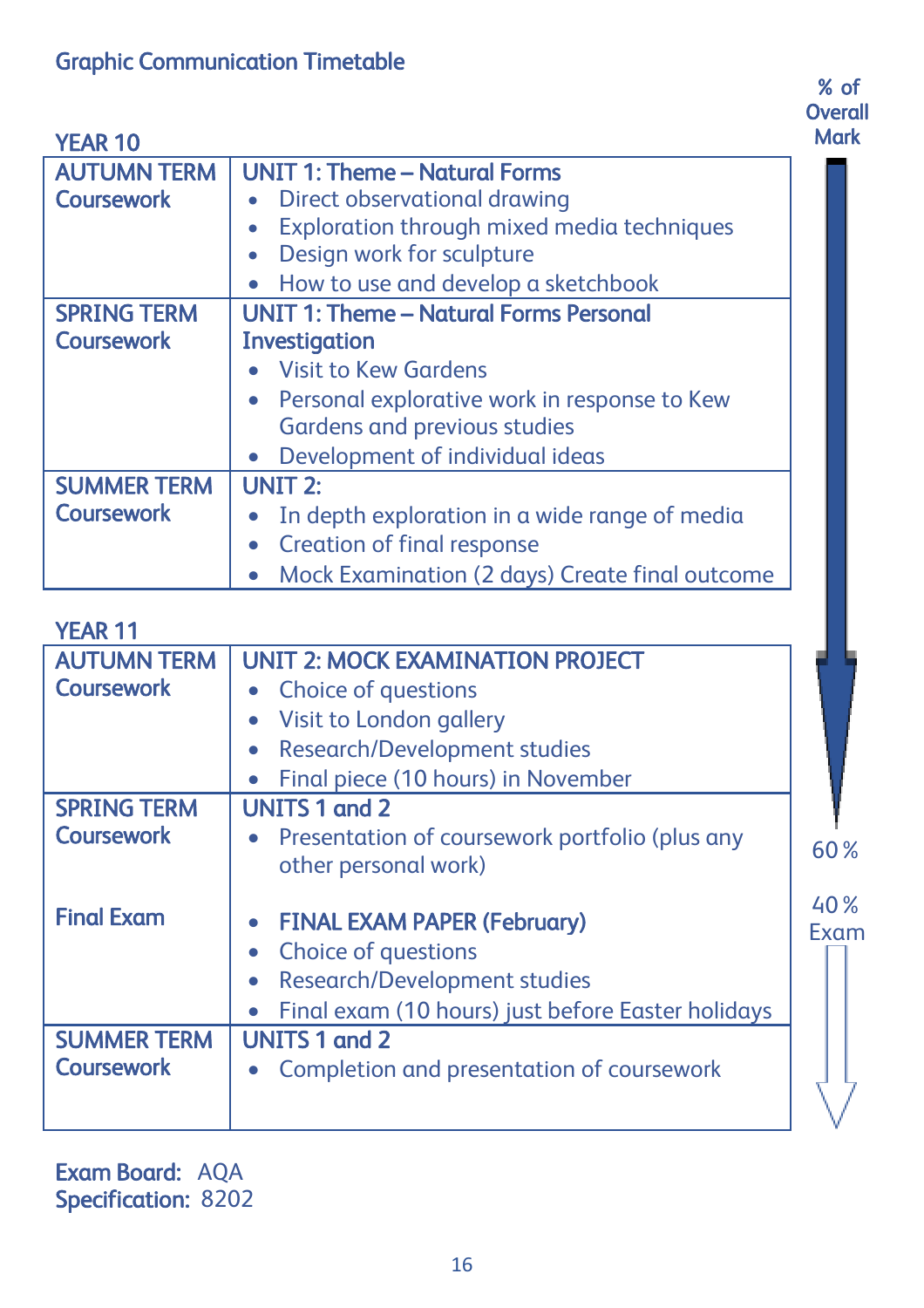where the contract of the contract of the contract of the contract of the contract of the contract of the contract of the contract of the contract of the contract of the contract of the contract of the contract of the cont **Overall Mark** 

| <b>YEAR 10</b>     | Mar                                                     |
|--------------------|---------------------------------------------------------|
| <b>AUTUMN TERM</b> | <b>UNIT 1: Theme - Natural Forms</b>                    |
| <b>Coursework</b>  | Direct observational drawing<br>$\bullet$               |
|                    | Exploration through mixed media techniques<br>$\bullet$ |
|                    | Design work for sculpture                               |
|                    | How to use and develop a sketchbook                     |
| <b>SPRING TERM</b> | <b>UNIT 1: Theme - Natural Forms Personal</b>           |
| <b>Coursework</b>  | Investigation                                           |
|                    | Visit to Kew Gardens                                    |
|                    | Personal explorative work in response to Kew            |
|                    | Gardens and previous studies                            |
|                    | Development of individual ideas                         |
| <b>SUMMER TERM</b> | <b>UNIT 2:</b>                                          |
| <b>Coursework</b>  | In depth exploration in a wide range of media           |
|                    | <b>Creation of final response</b>                       |
|                    | Mock Examination (2 days) Create final outcome          |
|                    |                                                         |

| <b>YEAR 11</b>     |                                                                                                                                                |             |
|--------------------|------------------------------------------------------------------------------------------------------------------------------------------------|-------------|
| <b>AUTUMN TERM</b> | <b>UNIT 2: MOCK EXAMINATION PROJECT</b>                                                                                                        |             |
| <b>Coursework</b>  | Choice of questions                                                                                                                            |             |
|                    | Visit to London gallery                                                                                                                        |             |
|                    | Research/Development studies                                                                                                                   |             |
|                    | Final piece (10 hours) in November                                                                                                             |             |
| <b>SPRING TERM</b> | <b>UNITS 1 and 2</b>                                                                                                                           |             |
| <b>Coursework</b>  | Presentation of coursework portfolio (plus any                                                                                                 | 60%         |
|                    | other personal work)                                                                                                                           |             |
| <b>Final Exam</b>  | <b>FINAL EXAM PAPER (February)</b><br>Choice of questions<br>Research/Development studies<br>Final exam (10 hours) just before Easter holidays | 40%<br>Exam |
| <b>SUMMER TERM</b> | <b>UNITS 1 and 2</b>                                                                                                                           |             |
| <b>Coursework</b>  | Completion and presentation of coursework                                                                                                      |             |
|                    |                                                                                                                                                |             |

Exam Board: AQA Specification: 8202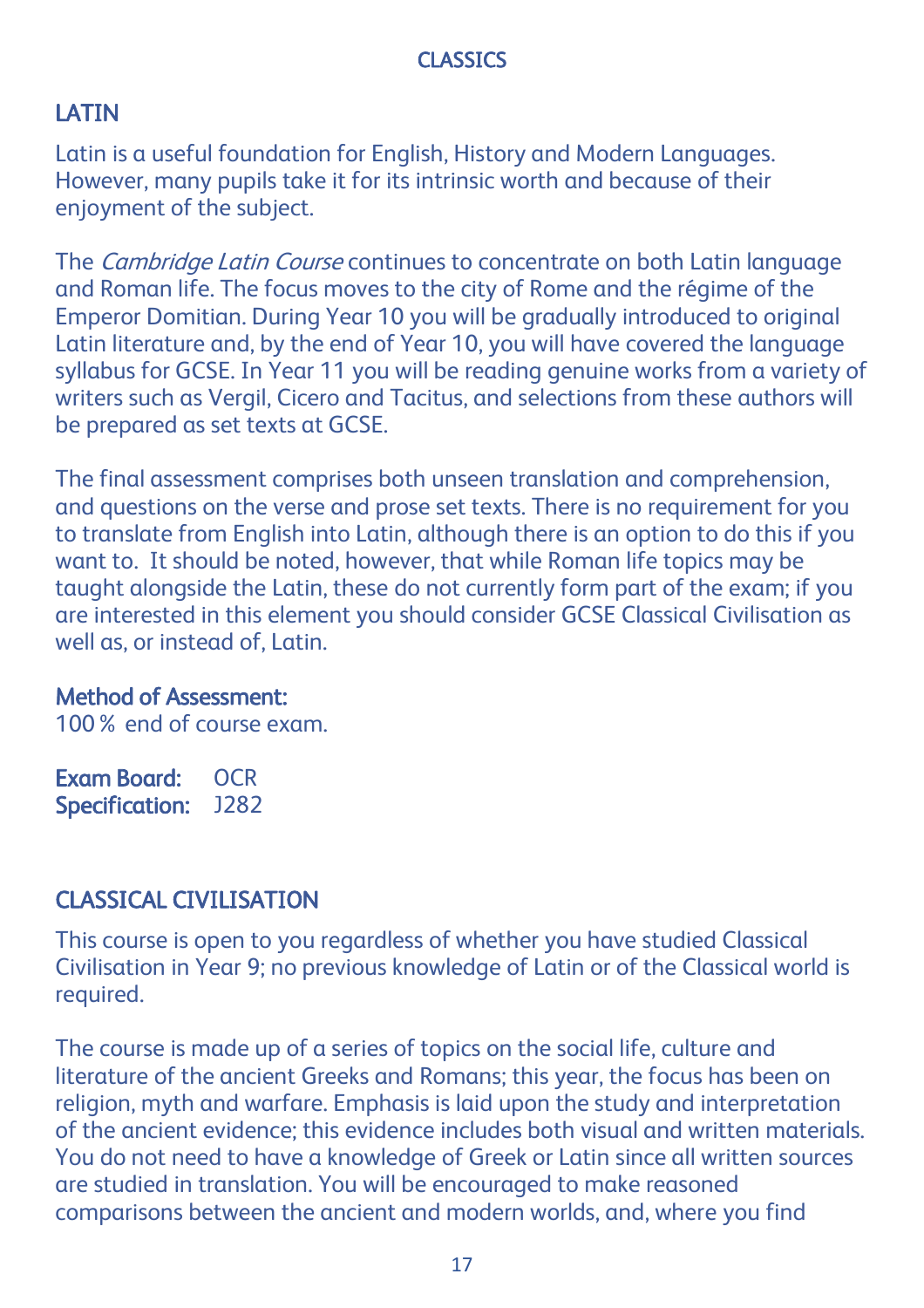### CLASSICS

## **LATIN**

Latin is a useful foundation for English, History and Modern Languages. However, many pupils take it for its intrinsic worth and because of their enjoyment of the subject.

The *Cambridge Latin Course* continues to concentrate on both Latin language and Roman life. The focus moves to the city of Rome and the régime of the Emperor Domitian. During Year 10 you will be gradually introduced to original Latin literature and, by the end of Year 10, you will have covered the language syllabus for GCSE. In Year 11 you will be reading genuine works from a variety of writers such as Vergil, Cicero and Tacitus, and selections from these authors will be prepared as set texts at GCSE.

The final assessment comprises both unseen translation and comprehension, and questions on the verse and prose set texts. There is no requirement for you to translate from English into Latin, although there is an option to do this if you want to. It should be noted, however, that while Roman life topics may be taught alongside the Latin, these do not currently form part of the exam; if you are interested in this element you should consider GCSE Classical Civilisation as well as, or instead of, Latin.

#### Method of Assessment:

100% end of course exam.

Exam Board: OCR Specification: J282

## CLASSICAL CIVILISATION

This course is open to you regardless of whether you have studied Classical Civilisation in Year 9; no previous knowledge of Latin or of the Classical world is required.

The course is made up of a series of topics on the social life, culture and literature of the ancient Greeks and Romans; this year, the focus has been on religion, myth and warfare. Emphasis is laid upon the study and interpretation of the ancient evidence; this evidence includes both visual and written materials. You do not need to have a knowledge of Greek or Latin since all written sources are studied in translation. You will be encouraged to make reasoned comparisons between the ancient and modern worlds, and, where you find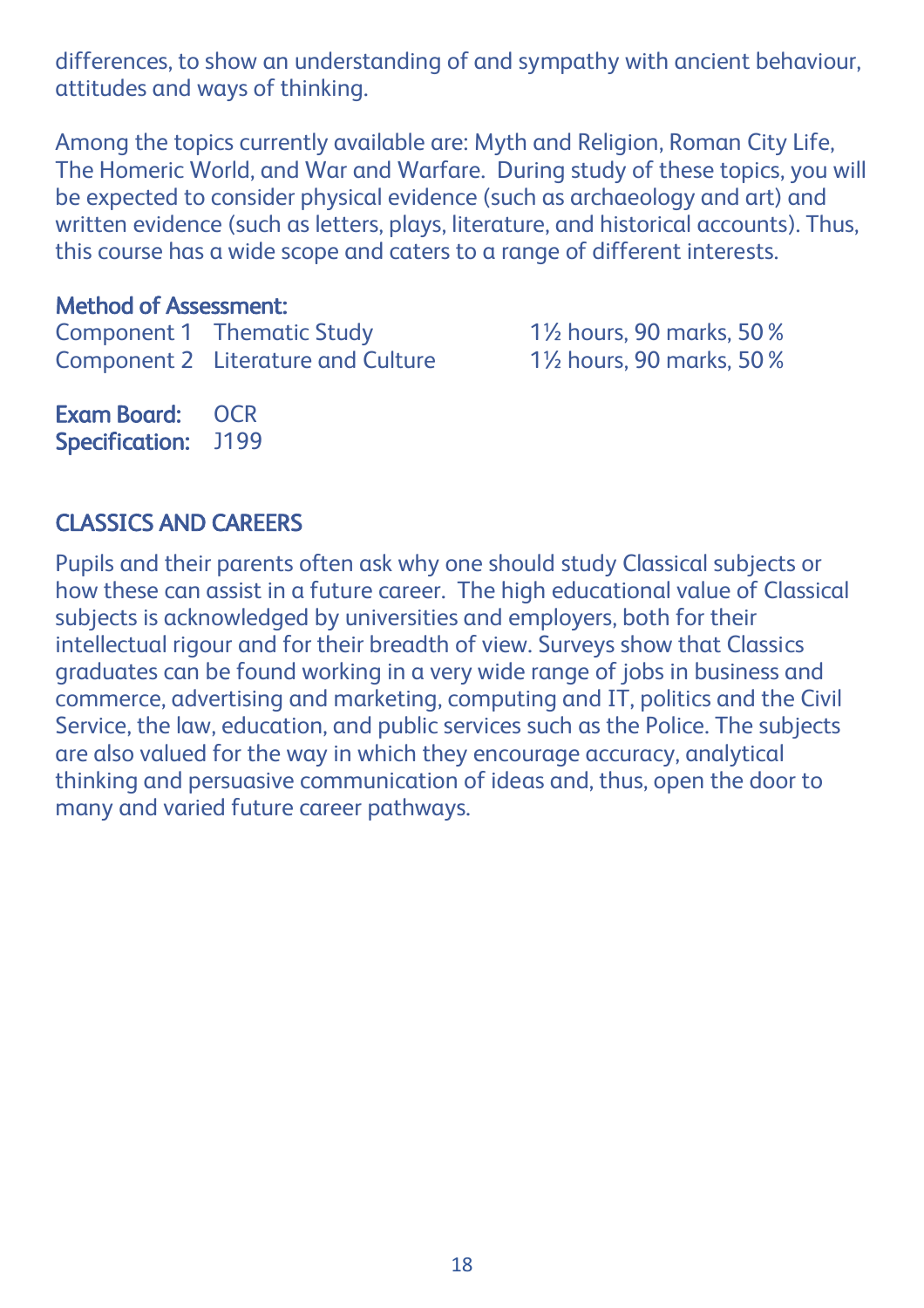differences, to show an understanding of and sympathy with ancient behaviour, attitudes and ways of thinking.

Among the topics currently available are: Myth and Religion, Roman City Life, The Homeric World, and War and Warfare. During study of these topics, you will be expected to consider physical evidence (such as archaeology and art) and written evidence (such as letters, plays, literature, and historical accounts). Thus, this course has a wide scope and caters to a range of different interests.

#### Method of Assessment:

Component 1 Thematic Study 1½ hours, 90 marks, 50% Component 2 Literature and Culture 1½ hours, 90 marks, 50% Exam Board: OCR

Specification: J199

### CLASSICS AND CAREERS

Pupils and their parents often ask why one should study Classical subjects or how these can assist in a future career. The high educational value of Classical subjects is acknowledged by universities and employers, both for their intellectual rigour and for their breadth of view. Surveys show that Classics graduates can be found working in a very wide range of jobs in business and commerce, advertising and marketing, computing and IT, politics and the Civil Service, the law, education, and public services such as the Police. The subjects are also valued for the way in which they encourage accuracy, analytical thinking and persuasive communication of ideas and, thus, open the door to many and varied future career pathways.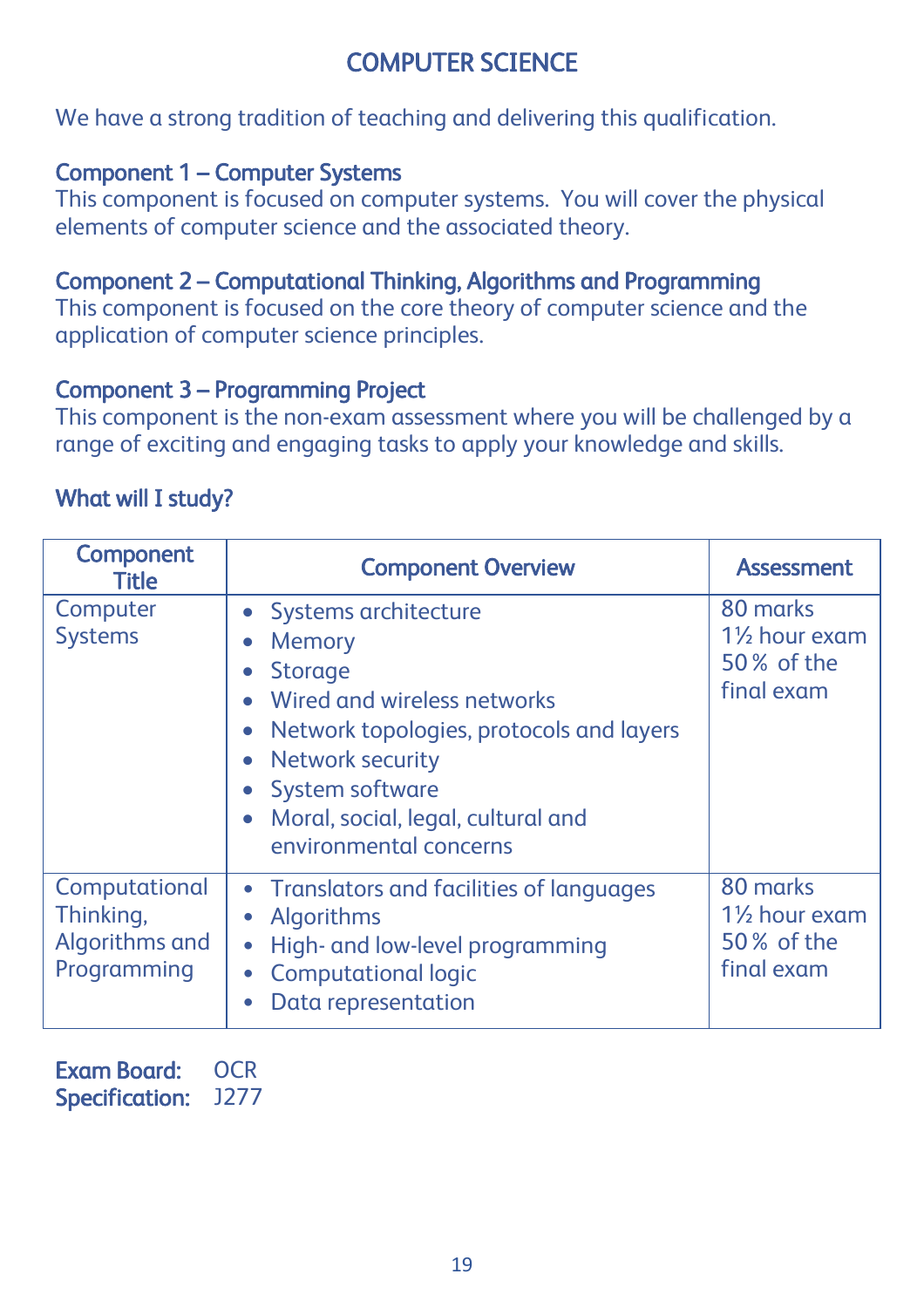# COMPUTER SCIENCE

We have a strong tradition of teaching and delivering this qualification.

### Component 1 – Computer Systems

This component is focused on computer systems. You will cover the physical elements of computer science and the associated theory.

### Component 2 – Computational Thinking, Algorithms and Programming

This component is focused on the core theory of computer science and the application of computer science principles.

### Component 3 – Programming Project

This component is the non-exam assessment where you will be challenged by a range of exciting and engaging tasks to apply your knowledge and skills.

### What will I study?

| Component<br>Title                                          | <b>Component Overview</b>                                                                                                                                                                                                                       | <b>Assessment</b>                                                                |
|-------------------------------------------------------------|-------------------------------------------------------------------------------------------------------------------------------------------------------------------------------------------------------------------------------------------------|----------------------------------------------------------------------------------|
| Computer<br><b>Systems</b>                                  | Systems architecture<br>Memory<br><b>Storage</b><br>Wired and wireless networks<br>Network topologies, protocols and layers<br>Network security<br>System software<br>Moral, social, legal, cultural and<br>$\bullet$<br>environmental concerns | 80 marks<br>1½ hour exam<br>50% of the<br>final exam                             |
| Computational<br>Thinking,<br>Algorithms and<br>Programming | • Translators and facilities of languages<br>Algorithms<br>High- and low-level programming<br>٠<br><b>Computational logic</b><br>Data representation                                                                                            | 80 marks<br>1 <sup>1</sup> / <sub>2</sub> hour exam<br>50 % of the<br>final exam |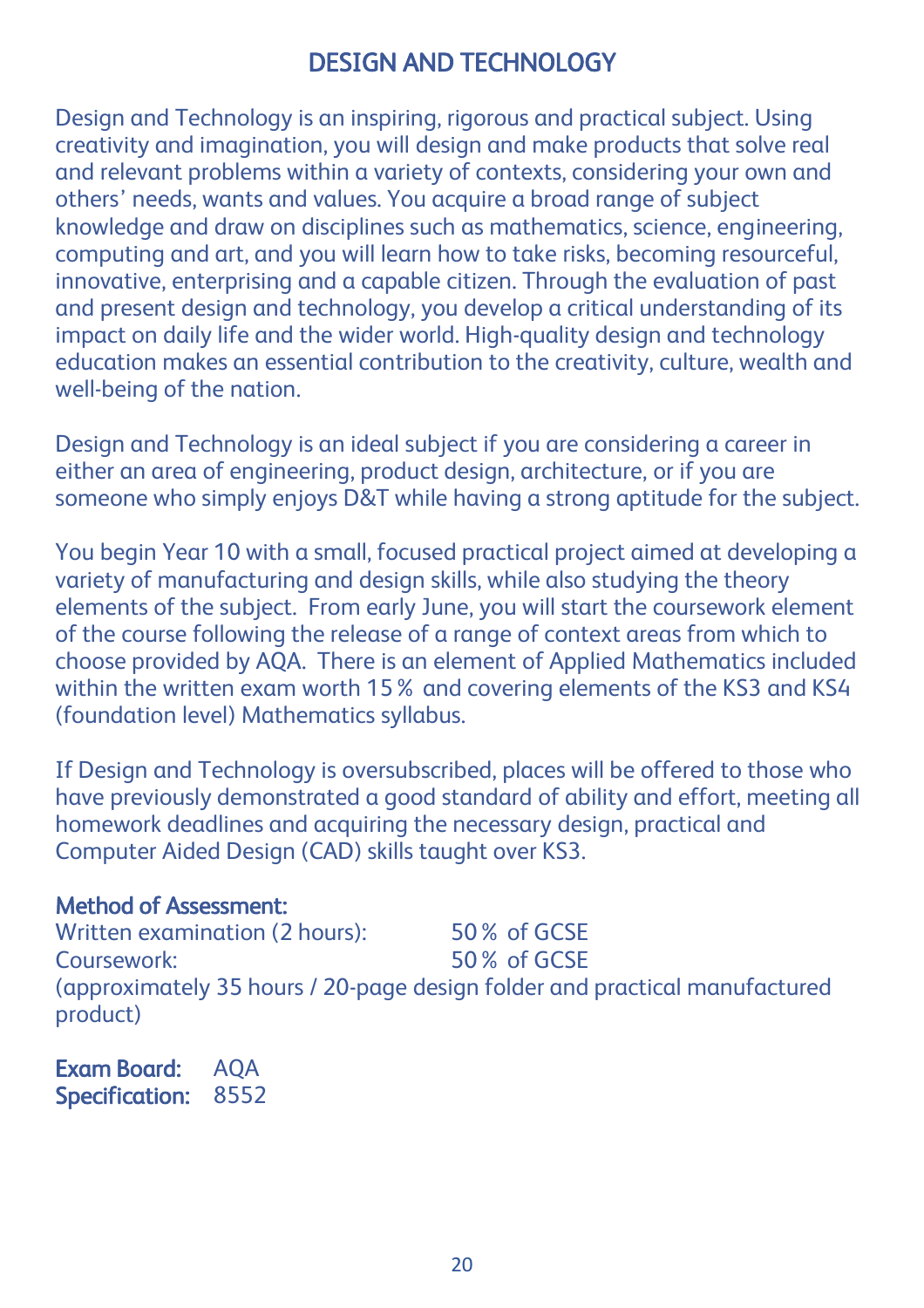# DESIGN AND TECHNOLOGY

Design and Technology is an inspiring, rigorous and practical subject. Using creativity and imagination, you will design and make products that solve real and relevant problems within a variety of contexts, considering your own and others' needs, wants and values. You acquire a broad range of subject knowledge and draw on disciplines such as mathematics, science, engineering, computing and art, and you will learn how to take risks, becoming resourceful, innovative, enterprising and a capable citizen. Through the evaluation of past and present design and technology, you develop a critical understanding of its impact on daily life and the wider world. High-quality design and technology education makes an essential contribution to the creativity, culture, wealth and well-being of the nation.

Design and Technology is an ideal subject if you are considering a career in either an area of engineering, product design, architecture, or if you are someone who simply enjoys D&T while having a strong aptitude for the subject.

You begin Year 10 with a small, focused practical project aimed at developing a variety of manufacturing and design skills, while also studying the theory elements of the subject. From early June, you will start the coursework element of the course following the release of a range of context areas from which to choose provided by AQA. There is an element of Applied Mathematics included within the written exam worth 15% and covering elements of the KS3 and KS4 (foundation level) Mathematics syllabus.

If Design and Technology is oversubscribed, places will be offered to those who have previously demonstrated a good standard of ability and effort, meeting all homework deadlines and acquiring the necessary design, practical and Computer Aided Design (CAD) skills taught over KS3.

#### Method of Assessment:

Written examination (2 hours): 50% of GCSE Coursework: 50% of GCSE (approximately 35 hours / 20-page design folder and practical manufactured product)

Exam Board: AQA Specification: 8552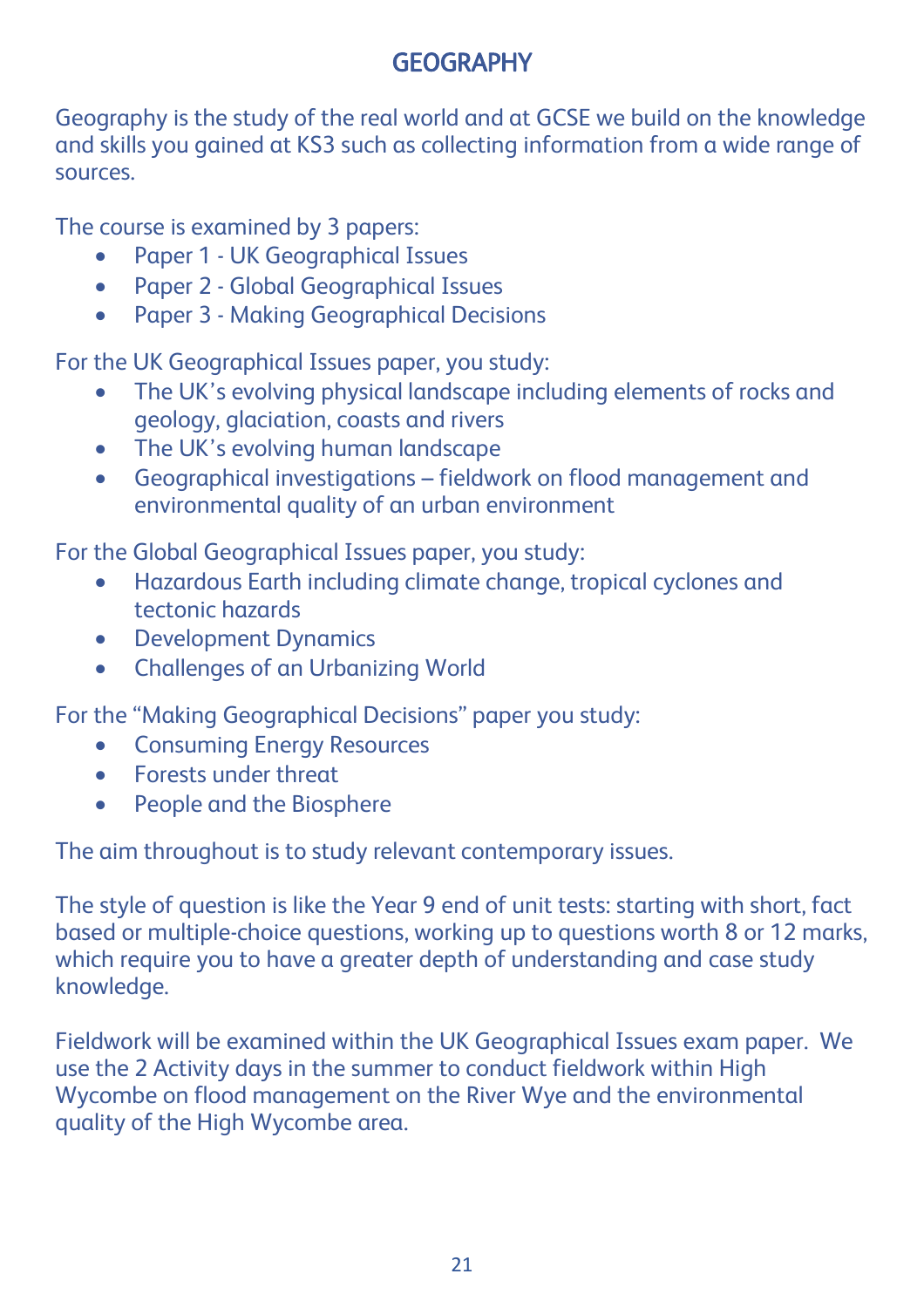# **GEOGRAPHY**

Geography is the study of the real world and at GCSE we build on the knowledge and skills you gained at KS3 such as collecting information from a wide range of sources.

The course is examined by 3 papers:

- Paper 1 UK Geographical Issues
- Paper 2 Global Geographical Issues
- Paper 3 Making Geographical Decisions

For the UK Geographical Issues paper, you study:

- The UK's evolving physical landscape including elements of rocks and geology, glaciation, coasts and rivers
- The UK's evolving human landscape
- Geographical investigations fieldwork on flood management and environmental quality of an urban environment

For the Global Geographical Issues paper, you study:

- Hazardous Earth including climate change, tropical cyclones and tectonic hazards
- Development Dynamics
- Challenges of an Urbanizing World

For the "Making Geographical Decisions" paper you study:

- **Consuming Energy Resources**
- Forests under threat
- People and the Biosphere

The aim throughout is to study relevant contemporary issues.

The style of question is like the Year 9 end of unit tests: starting with short, fact based or multiple-choice questions, working up to questions worth 8 or 12 marks, which require you to have a greater depth of understanding and case study knowledge.

Fieldwork will be examined within the UK Geographical Issues exam paper. We use the 2 Activity days in the summer to conduct fieldwork within High Wycombe on flood management on the River Wye and the environmental quality of the High Wycombe area.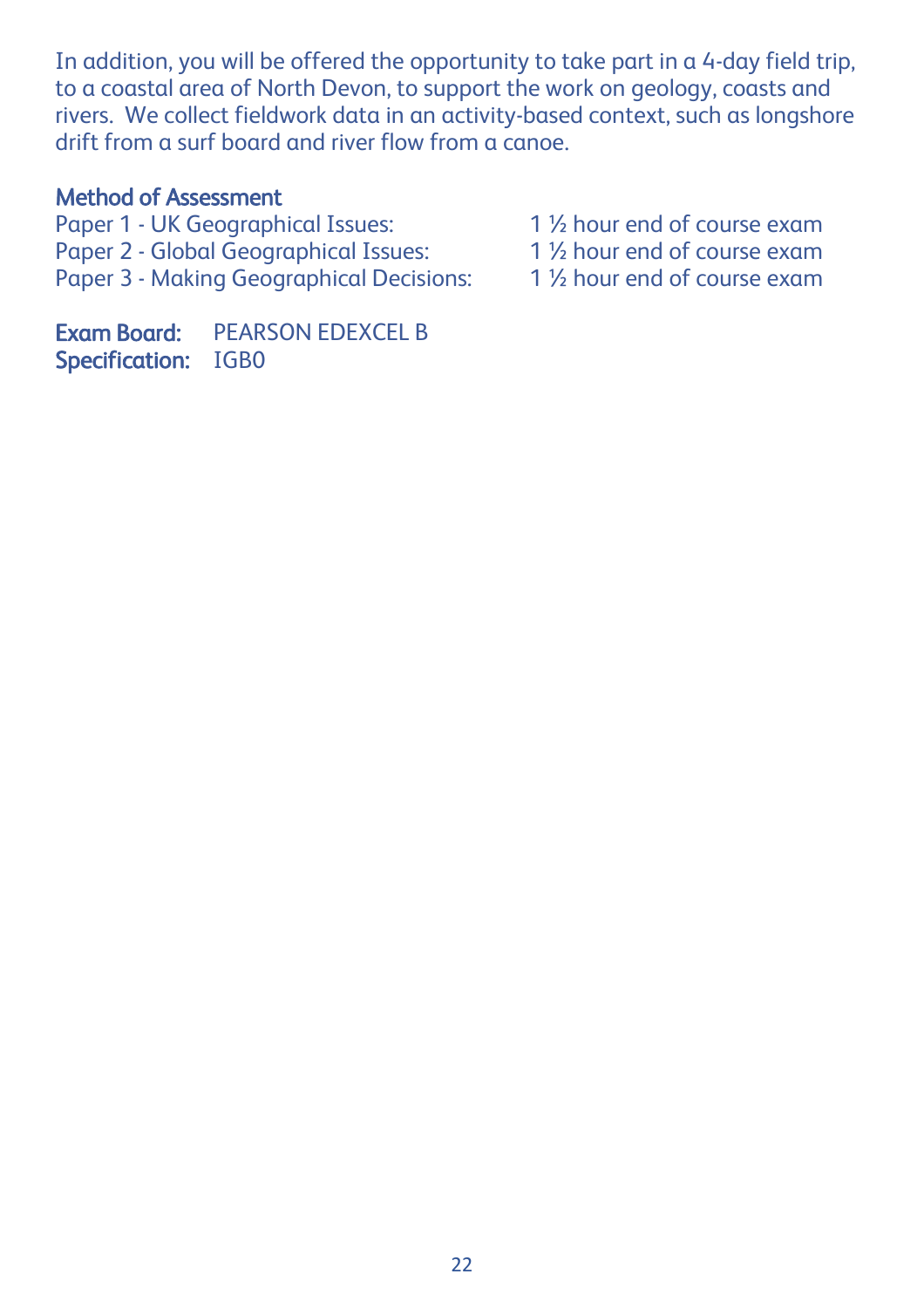In addition, you will be offered the opportunity to take part in a 4-day field trip, to a coastal area of North Devon, to support the work on geology, coasts and rivers. We collect fieldwork data in an activity-based context, such as longshore drift from a surf board and river flow from a canoe.

#### Method of Assessment

- Paper 1 UK Geographical Issues: 1 1 <sup>1</sup>/<sub>2</sub> hour end of course exam<br>Paper 2 Global Geographical Issues: 1 1 <sup>1</sup>/<sub>2</sub> hour end of course exam
- Paper 2 Global Geographical Issues: 1 1 <sup>1</sup>/<sub>2</sub> hour end of course exam<br>Paper 3 Making Geographical Decisions: 1 <sup>1</sup>/<sub>2</sub> hour end of course exam
- Paper 3 Making Geographical Decisions:
- 
- 
- 

Exam Board: PEARSON EDEXCEL B Specification: IGB0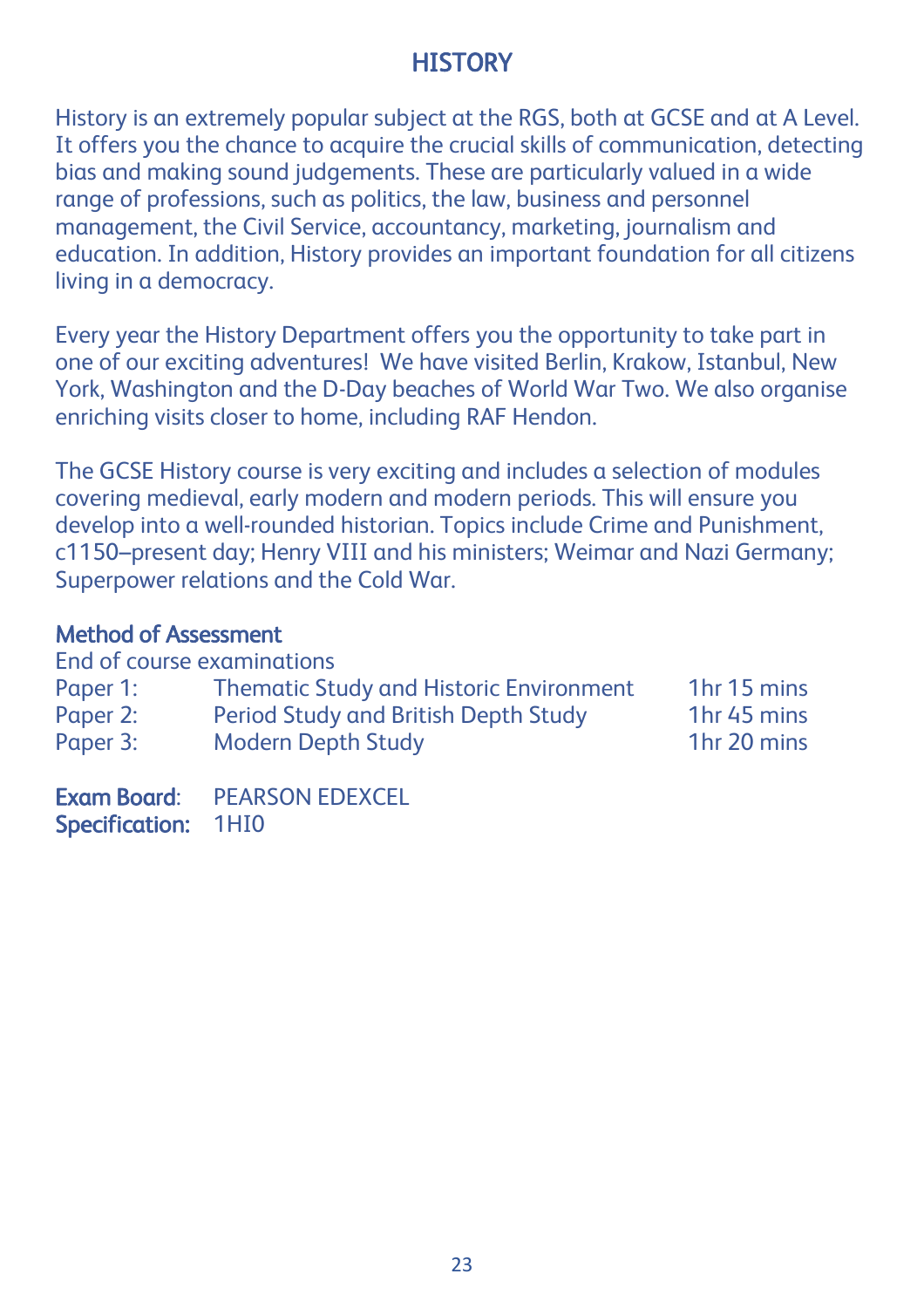# **HISTORY**

History is an extremely popular subject at the RGS, both at GCSE and at A Level. It offers you the chance to acquire the crucial skills of communication, detecting bias and making sound judgements. These are particularly valued in a wide range of professions, such as politics, the law, business and personnel management, the Civil Service, accountancy, marketing, journalism and education. In addition, History provides an important foundation for all citizens living in a democracy.

Every year the History Department offers you the opportunity to take part in one of our exciting adventures! We have visited Berlin, Krakow, Istanbul, New York, Washington and the D-Day beaches of World War Two. We also organise enriching visits closer to home, including RAF Hendon.

The GCSE History course is very exciting and includes a selection of modules covering medieval, early modern and modern periods. This will ensure you develop into a well-rounded historian. Topics include Crime and Punishment, c1150–present day; Henry VIII and his ministers; Weimar and Nazi Germany; Superpower relations and the Cold War.

### Method of Assessment

| End of course examinations |                                                |                         |  |
|----------------------------|------------------------------------------------|-------------------------|--|
| Paper 1:                   | <b>Thematic Study and Historic Environment</b> | 1 <sub>hr</sub> 15 mins |  |
| Paper 2:                   | Period Study and British Depth Study           | 1 <sub>hr</sub> 45 mins |  |
| Paper 3:                   | <b>Modern Depth Study</b>                      | 1 <sub>hr</sub> 20 mins |  |

Exam Board: PEARSON EDEXCEL Specification: 1HI0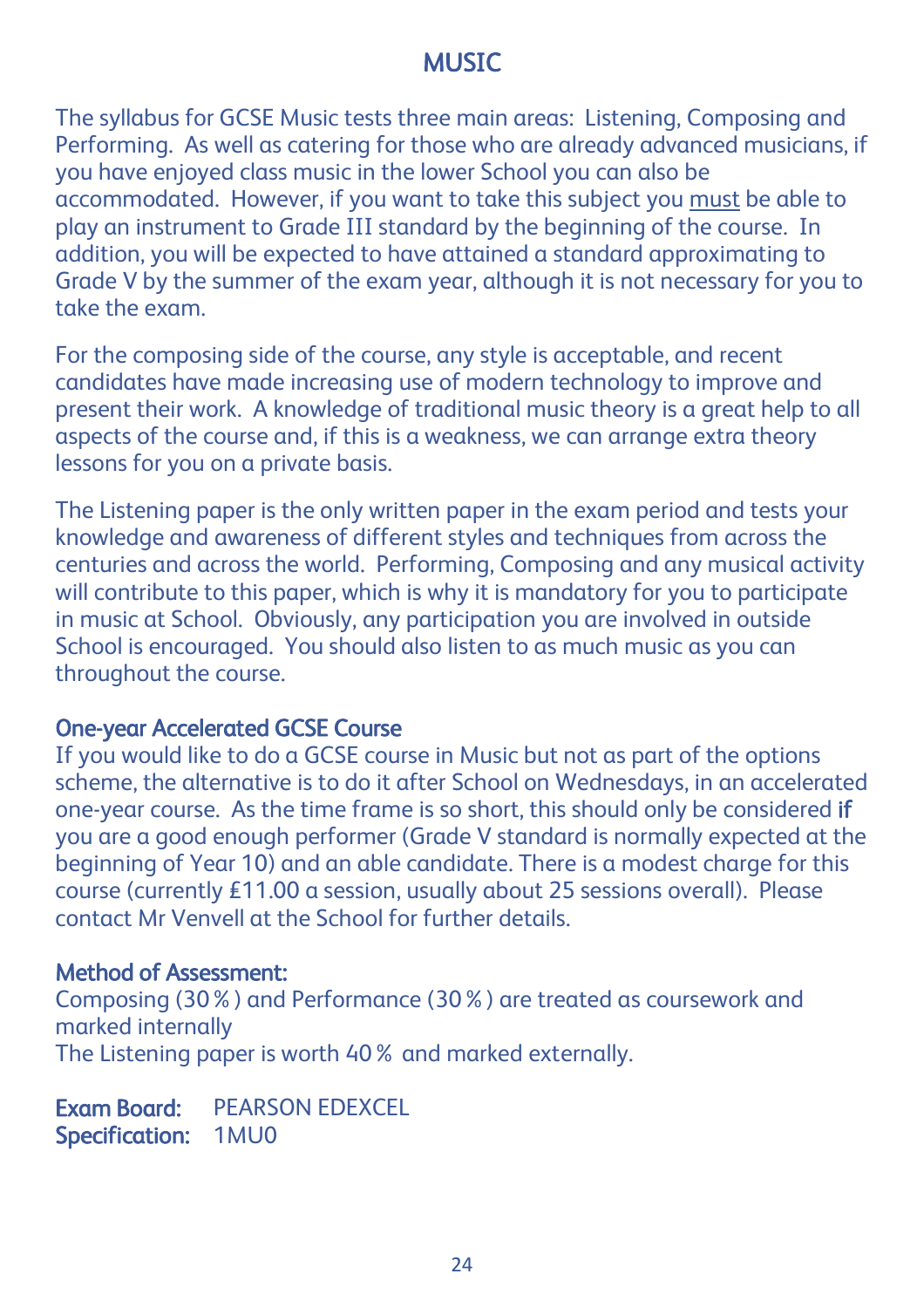# **MUSIC**

The syllabus for GCSE Music tests three main areas: Listening, Composing and Performing. As well as catering for those who are already advanced musicians, if you have enjoyed class music in the lower School you can also be accommodated. However, if you want to take this subject you must be able to play an instrument to Grade III standard by the beginning of the course. In addition, you will be expected to have attained a standard approximating to Grade V by the summer of the exam year, although it is not necessary for you to take the exam.

For the composing side of the course, any style is acceptable, and recent candidates have made increasing use of modern technology to improve and present their work. A knowledge of traditional music theory is a great help to all aspects of the course and, if this is a weakness, we can arrange extra theory lessons for you on a private basis.

The Listening paper is the only written paper in the exam period and tests your knowledge and awareness of different styles and techniques from across the centuries and across the world. Performing, Composing and any musical activity will contribute to this paper, which is why it is mandatory for you to participate in music at School. Obviously, any participation you are involved in outside School is encouraged. You should also listen to as much music as you can throughout the course.

#### One-year Accelerated GCSE Course

If you would like to do a GCSE course in Music but not as part of the options scheme, the alternative is to do it after School on Wednesdays, in an accelerated one-year course. As the time frame is so short, this should only be considered if you are a good enough performer (Grade V standard is normally expected at the beginning of Year 10) and an able candidate. There is a modest charge for this course (currently £11.00 a session, usually about 25 sessions overall). Please contact Mr Venvell at the School for further details.

#### Method of Assessment:

Composing (30%) and Performance (30%) are treated as coursework and marked internally The Listening paper is worth 40% and marked externally.

Exam Board: PEARSON EDEXCEL Specification: 1MU0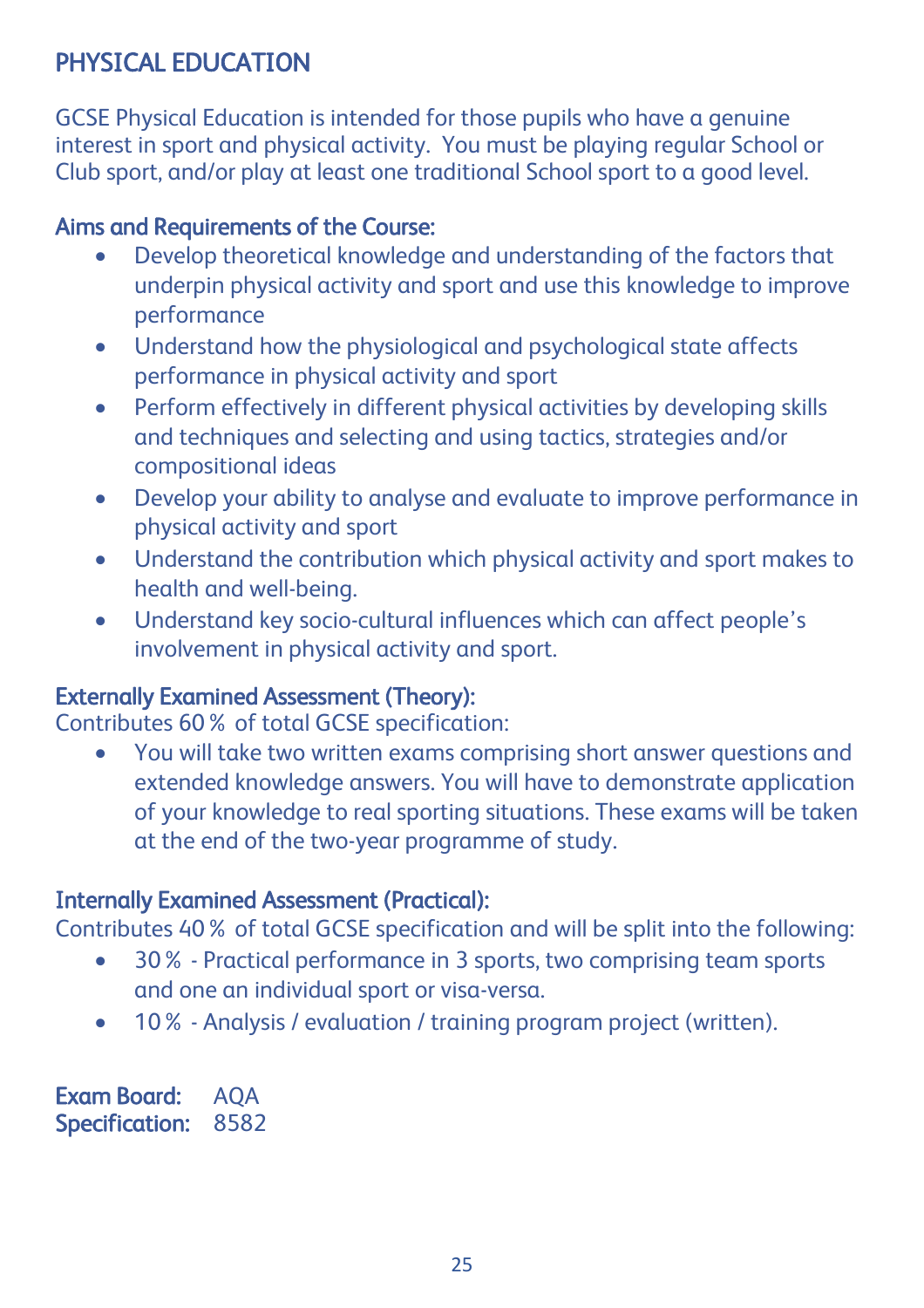# PHYSICAL EDUCATION

GCSE Physical Education is intended for those pupils who have a genuine interest in sport and physical activity. You must be playing regular School or Club sport, and/or play at least one traditional School sport to a good level.

## Aims and Requirements of the Course:

- Develop theoretical knowledge and understanding of the factors that underpin physical activity and sport and use this knowledge to improve performance
- Understand how the physiological and psychological state affects performance in physical activity and sport
- Perform effectively in different physical activities by developing skills and techniques and selecting and using tactics, strategies and/or compositional ideas
- Develop your ability to analyse and evaluate to improve performance in physical activity and sport
- Understand the contribution which physical activity and sport makes to health and well-being.
- Understand key socio-cultural influences which can affect people's involvement in physical activity and sport.

### Externally Examined Assessment (Theory):

Contributes 60% of total GCSE specification:

 You will take two written exams comprising short answer questions and extended knowledge answers. You will have to demonstrate application of your knowledge to real sporting situations. These exams will be taken at the end of the two-year programme of study.

## Internally Examined Assessment (Practical):

Contributes 40% of total GCSE specification and will be split into the following:

- 30% Practical performance in 3 sports, two comprising team sports and one an individual sport or visa-versa.
- 10% Analysis / evaluation / training program project (written).

Exam Board: AQA Specification: 8582